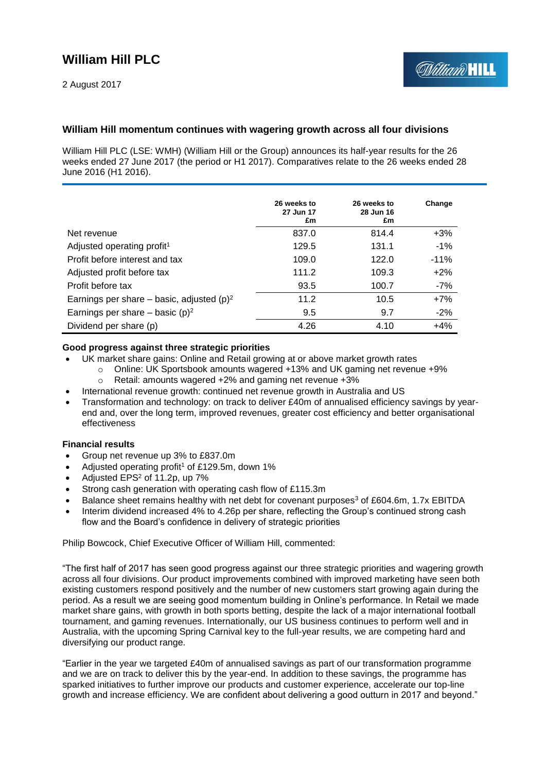# **William Hill PLC**

2 August 2017



# **William Hill momentum continues with wagering growth across all four divisions**

William Hill PLC (LSE: WMH) (William Hill or the Group) announces its half-year results for the 26 weeks ended 27 June 2017 (the period or H1 2017). Comparatives relate to the 26 weeks ended 28 June 2016 (H1 2016).

|                                              | 26 weeks to<br>27 Jun 17<br>£m | 26 weeks to<br>28 Jun 16<br>£m | Change |
|----------------------------------------------|--------------------------------|--------------------------------|--------|
| Net revenue                                  | 837.0                          | 814.4                          | $+3%$  |
| Adjusted operating profit <sup>1</sup>       | 129.5                          | 131.1                          | $-1\%$ |
| Profit before interest and tax               | 109.0                          | 122.0                          | $-11%$ |
| Adjusted profit before tax                   | 111.2                          | 109.3                          | $+2%$  |
| Profit before tax                            | 93.5                           | 100.7                          | $-7%$  |
| Earnings per share – basic, adjusted $(p)^2$ | 11.2                           | 10.5                           | $+7%$  |
| Earnings per share – basic $(p)^2$           | 9.5                            | 9.7                            | $-2%$  |
| Dividend per share (p)                       | 4.26                           | 4.10                           | $+4%$  |

# **Good progress against three strategic priorities**

- UK market share gains: Online and Retail growing at or above market growth rates
	- o Online: UK Sportsbook amounts wagered +13% and UK gaming net revenue +9%
		- o Retail: amounts wagered +2% and gaming net revenue +3%
- International revenue growth: continued net revenue growth in Australia and US
- Transformation and technology: on track to deliver £40m of annualised efficiency savings by yearend and, over the long term, improved revenues, greater cost efficiency and better organisational effectiveness

# **Financial results**

- Group net revenue up 3% to £837.0m
- Adjusted operating profit<sup>1</sup> of £129.5m, down 1%
- Adjusted EPS<sup>2</sup> of 11.2p, up 7%
- Strong cash generation with operating cash flow of £115.3m
- Balance sheet remains healthy with net debt for covenant purposes<sup>3</sup> of £604.6m, 1.7x EBITDA
- Interim dividend increased 4% to 4.26p per share, reflecting the Group's continued strong cash flow and the Board's confidence in delivery of strategic priorities

Philip Bowcock, Chief Executive Officer of William Hill, commented:

"The first half of 2017 has seen good progress against our three strategic priorities and wagering growth across all four divisions. Our product improvements combined with improved marketing have seen both existing customers respond positively and the number of new customers start growing again during the period. As a result we are seeing good momentum building in Online's performance. In Retail we made market share gains, with growth in both sports betting, despite the lack of a major international football tournament, and gaming revenues. Internationally, our US business continues to perform well and in Australia, with the upcoming Spring Carnival key to the full-year results, we are competing hard and diversifying our product range.

"Earlier in the year we targeted £40m of annualised savings as part of our transformation programme and we are on track to deliver this by the year-end. In addition to these savings, the programme has sparked initiatives to further improve our products and customer experience, accelerate our top-line growth and increase efficiency. We are confident about delivering a good outturn in 2017 and beyond."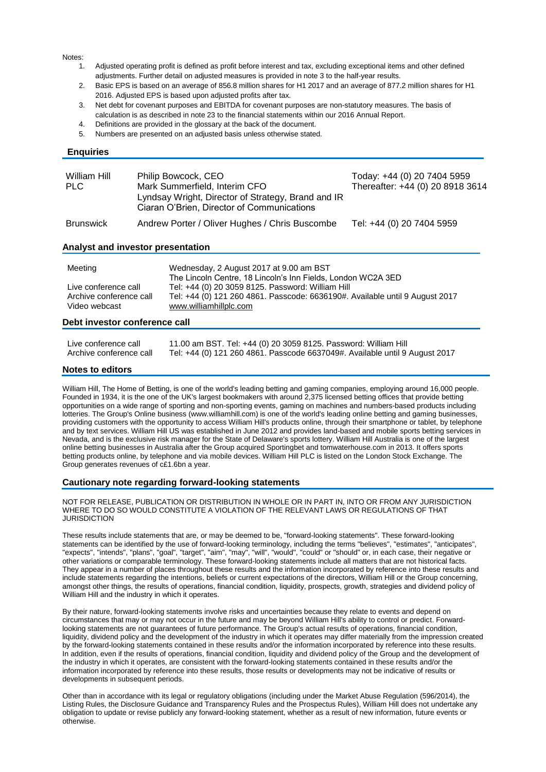#### Notes:

- 1. Adjusted operating profit is defined as profit before interest and tax, excluding exceptional items and other defined adjustments. Further detail on adjusted measures is provided in note 3 to the half-year results.
- 2. Basic EPS is based on an average of 856.8 million shares for H1 2017 and an average of 877.2 million shares for H1 2016. Adjusted EPS is based upon adjusted profits after tax.
- 3. Net debt for covenant purposes and EBITDA for covenant purposes are non-statutory measures. The basis of calculation is as described in note 23 to the financial statements within our 2016 Annual Report.
- 4. Definitions are provided in the glossary at the back of the document.
- 5. Numbers are presented on an adjusted basis unless otherwise stated.

#### **Enquiries**

| William Hill<br>PLC. | Philip Bowcock, CEO<br>Mark Summerfield, Interim CFO<br>Lyndsay Wright, Director of Strategy, Brand and IR<br>Ciaran O'Brien, Director of Communications | Today: +44 (0) 20 7404 5959<br>Thereafter: +44 (0) 20 8918 3614 |
|----------------------|----------------------------------------------------------------------------------------------------------------------------------------------------------|-----------------------------------------------------------------|
| <b>Brunswick</b>     | Andrew Porter / Oliver Hughes / Chris Buscombe                                                                                                           | Tel: +44 (0) 20 7404 5959                                       |

#### **Analyst and investor presentation**

| Meeting                                   | Wednesday, 2 August 2017 at 9.00 am BST                                      |
|-------------------------------------------|------------------------------------------------------------------------------|
|                                           | The Lincoln Centre, 18 Lincoln's Inn Fields, London WC2A 3ED                 |
| Live conference call                      | Tel: +44 (0) 20 3059 8125. Password: William Hill                            |
| Archive conference call                   | Tel: +44 (0) 121 260 4861. Passcode: 6636190#. Available until 9 August 2017 |
| Video webcast                             | www.williamhillplc.com                                                       |
| Barba ta sanat sa mga 1999 na mga sanat t |                                                                              |

#### **Debt investor conference call**

| Live conference call    | 11.00 am BST. Tel: +44 (0) 20 3059 8125. Password: William Hill             |
|-------------------------|-----------------------------------------------------------------------------|
| Archive conference call | Tel: +44 (0) 121 260 4861. Passcode 6637049#. Available until 9 August 2017 |
|                         |                                                                             |

## **Notes to editors**

William Hill, The Home of Betting, is one of the world's leading betting and gaming companies, employing around 16,000 people. Founded in 1934, it is the one of the UK's largest bookmakers with around 2,375 licensed betting offices that provide betting opportunities on a wide range of sporting and non-sporting events, gaming on machines and numbers-based products including lotteries. The Group's Online business (www.williamhill.com) is one of the world's leading online betting and gaming businesses, providing customers with the opportunity to access William Hill's products online, through their smartphone or tablet, by telephone and by text services. William Hill US was established in June 2012 and provides land-based and mobile sports betting services in Nevada, and is the exclusive risk manager for the State of Delaware's sports lottery. William Hill Australia is one of the largest online betting businesses in Australia after the Group acquired Sportingbet and tomwaterhouse.com in 2013. It offers sports betting products online, by telephone and via mobile devices. William Hill PLC is listed on the London Stock Exchange. The Group generates revenues of c£1.6bn a year.

#### **Cautionary note regarding forward-looking statements**

NOT FOR RELEASE, PUBLICATION OR DISTRIBUTION IN WHOLE OR IN PART IN, INTO OR FROM ANY JURISDICTION WHERE TO DO SO WOULD CONSTITUTE A VIOLATION OF THE RELEVANT LAWS OR REGULATIONS OF THAT JURISDICTION

These results include statements that are, or may be deemed to be, "forward-looking statements". These forward-looking statements can be identified by the use of forward-looking terminology, including the terms "believes", "estimates", "anticipates", "expects", "intends", "plans", "goal", "target", "aim", "may", "will", "would", "could" or "should" or, in each case, their negative or other variations or comparable terminology. These forward-looking statements include all matters that are not historical facts. They appear in a number of places throughout these results and the information incorporated by reference into these results and include statements regarding the intentions, beliefs or current expectations of the directors, William Hill or the Group concerning, amongst other things, the results of operations, financial condition, liquidity, prospects, growth, strategies and dividend policy of William Hill and the industry in which it operates.

By their nature, forward-looking statements involve risks and uncertainties because they relate to events and depend on circumstances that may or may not occur in the future and may be beyond William Hill's ability to control or predict. Forwardlooking statements are not guarantees of future performance. The Group's actual results of operations, financial condition, liquidity, dividend policy and the development of the industry in which it operates may differ materially from the impression created by the forward-looking statements contained in these results and/or the information incorporated by reference into these results. In addition, even if the results of operations, financial condition, liquidity and dividend policy of the Group and the development of the industry in which it operates, are consistent with the forward-looking statements contained in these results and/or the information incorporated by reference into these results, those results or developments may not be indicative of results or developments in subsequent periods.

Other than in accordance with its legal or regulatory obligations (including under the Market Abuse Regulation (596/2014), the Listing Rules, the Disclosure Guidance and Transparency Rules and the Prospectus Rules), William Hill does not undertake any obligation to update or revise publicly any forward-looking statement, whether as a result of new information, future events or otherwise.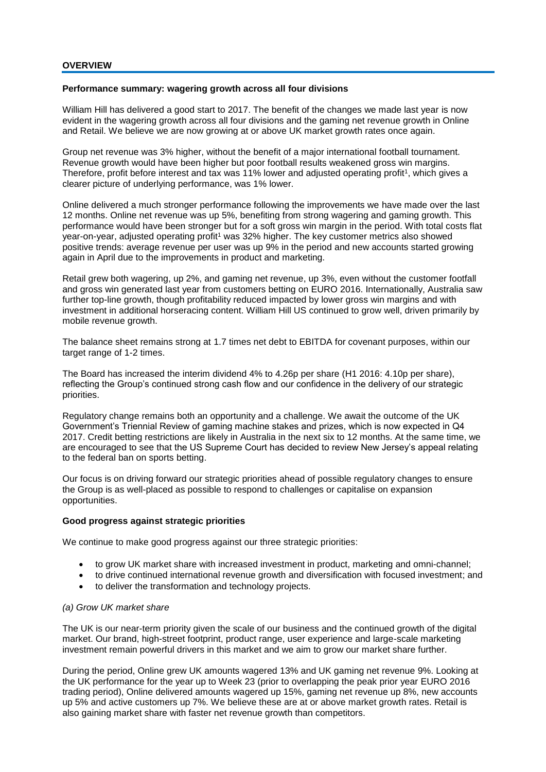# **OVERVIEW**

## **Performance summary: wagering growth across all four divisions**

William Hill has delivered a good start to 2017. The benefit of the changes we made last year is now evident in the wagering growth across all four divisions and the gaming net revenue growth in Online and Retail. We believe we are now growing at or above UK market growth rates once again.

Group net revenue was 3% higher, without the benefit of a major international football tournament. Revenue growth would have been higher but poor football results weakened gross win margins. Therefore, profit before interest and tax was 11% lower and adjusted operating profit<sup>1</sup>, which gives a clearer picture of underlying performance, was 1% lower.

Online delivered a much stronger performance following the improvements we have made over the last 12 months. Online net revenue was up 5%, benefiting from strong wagering and gaming growth. This performance would have been stronger but for a soft gross win margin in the period. With total costs flat year-on-year, adjusted operating profit<sup>1</sup> was 32% higher. The key customer metrics also showed positive trends: average revenue per user was up 9% in the period and new accounts started growing again in April due to the improvements in product and marketing.

Retail grew both wagering, up 2%, and gaming net revenue, up 3%, even without the customer footfall and gross win generated last year from customers betting on EURO 2016. Internationally, Australia saw further top-line growth, though profitability reduced impacted by lower gross win margins and with investment in additional horseracing content. William Hill US continued to grow well, driven primarily by mobile revenue growth.

The balance sheet remains strong at 1.7 times net debt to EBITDA for covenant purposes, within our target range of 1-2 times.

The Board has increased the interim dividend 4% to 4.26p per share (H1 2016: 4.10p per share), reflecting the Group's continued strong cash flow and our confidence in the delivery of our strategic priorities.

Regulatory change remains both an opportunity and a challenge. We await the outcome of the UK Government's Triennial Review of gaming machine stakes and prizes, which is now expected in Q4 2017. Credit betting restrictions are likely in Australia in the next six to 12 months. At the same time, we are encouraged to see that the US Supreme Court has decided to review New Jersey's appeal relating to the federal ban on sports betting.

Our focus is on driving forward our strategic priorities ahead of possible regulatory changes to ensure the Group is as well-placed as possible to respond to challenges or capitalise on expansion opportunities.

# **Good progress against strategic priorities**

We continue to make good progress against our three strategic priorities:

- to grow UK market share with increased investment in product, marketing and omni-channel;
- to drive continued international revenue growth and diversification with focused investment; and
- to deliver the transformation and technology projects.

### *(a) Grow UK market share*

The UK is our near-term priority given the scale of our business and the continued growth of the digital market. Our brand, high-street footprint, product range, user experience and large-scale marketing investment remain powerful drivers in this market and we aim to grow our market share further.

During the period, Online grew UK amounts wagered 13% and UK gaming net revenue 9%. Looking at the UK performance for the year up to Week 23 (prior to overlapping the peak prior year EURO 2016 trading period), Online delivered amounts wagered up 15%, gaming net revenue up 8%, new accounts up 5% and active customers up 7%. We believe these are at or above market growth rates. Retail is also gaining market share with faster net revenue growth than competitors.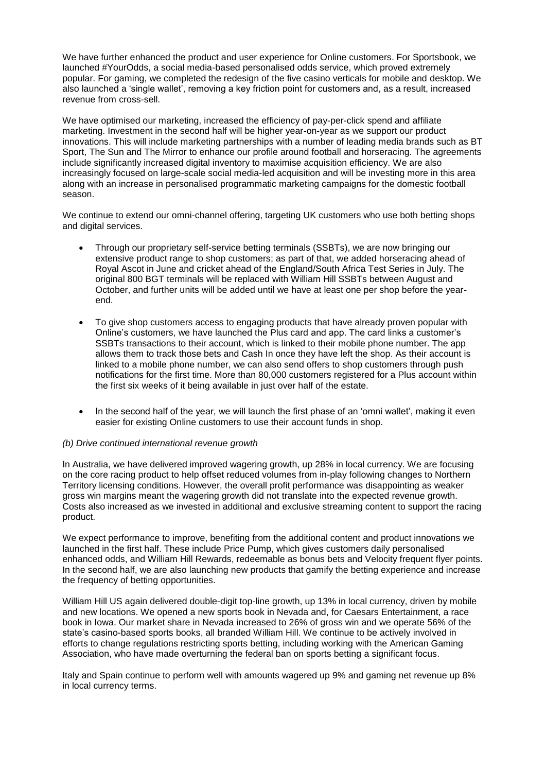We have further enhanced the product and user experience for Online customers. For Sportsbook, we launched #YourOdds, a social media-based personalised odds service, which proved extremely popular. For gaming, we completed the redesign of the five casino verticals for mobile and desktop. We also launched a 'single wallet', removing a key friction point for customers and, as a result, increased revenue from cross-sell.

We have optimised our marketing, increased the efficiency of pay-per-click spend and affiliate marketing. Investment in the second half will be higher year-on-year as we support our product innovations. This will include marketing partnerships with a number of leading media brands such as BT Sport, The Sun and The Mirror to enhance our profile around football and horseracing. The agreements include significantly increased digital inventory to maximise acquisition efficiency. We are also increasingly focused on large-scale social media-led acquisition and will be investing more in this area along with an increase in personalised programmatic marketing campaigns for the domestic football season.

We continue to extend our omni-channel offering, targeting UK customers who use both betting shops and digital services.

- Through our proprietary self-service betting terminals (SSBTs), we are now bringing our extensive product range to shop customers; as part of that, we added horseracing ahead of Royal Ascot in June and cricket ahead of the England/South Africa Test Series in July. The original 800 BGT terminals will be replaced with William Hill SSBTs between August and October, and further units will be added until we have at least one per shop before the yearend.
- To give shop customers access to engaging products that have already proven popular with Online's customers, we have launched the Plus card and app. The card links a customer's SSBTs transactions to their account, which is linked to their mobile phone number. The app allows them to track those bets and Cash In once they have left the shop. As their account is linked to a mobile phone number, we can also send offers to shop customers through push notifications for the first time. More than 80,000 customers registered for a Plus account within the first six weeks of it being available in just over half of the estate.
- In the second half of the year, we will launch the first phase of an 'omni wallet', making it even easier for existing Online customers to use their account funds in shop.

# *(b) Drive continued international revenue growth*

In Australia, we have delivered improved wagering growth, up 28% in local currency. We are focusing on the core racing product to help offset reduced volumes from in-play following changes to Northern Territory licensing conditions. However, the overall profit performance was disappointing as weaker gross win margins meant the wagering growth did not translate into the expected revenue growth. Costs also increased as we invested in additional and exclusive streaming content to support the racing product.

We expect performance to improve, benefiting from the additional content and product innovations we launched in the first half. These include Price Pump, which gives customers daily personalised enhanced odds, and William Hill Rewards, redeemable as bonus bets and Velocity frequent flyer points. In the second half, we are also launching new products that gamify the betting experience and increase the frequency of betting opportunities.

William Hill US again delivered double-digit top-line growth, up 13% in local currency, driven by mobile and new locations. We opened a new sports book in Nevada and, for Caesars Entertainment, a race book in Iowa. Our market share in Nevada increased to 26% of gross win and we operate 56% of the state's casino-based sports books, all branded William Hill. We continue to be actively involved in efforts to change regulations restricting sports betting, including working with the American Gaming Association, who have made overturning the federal ban on sports betting a significant focus.

Italy and Spain continue to perform well with amounts wagered up 9% and gaming net revenue up 8% in local currency terms.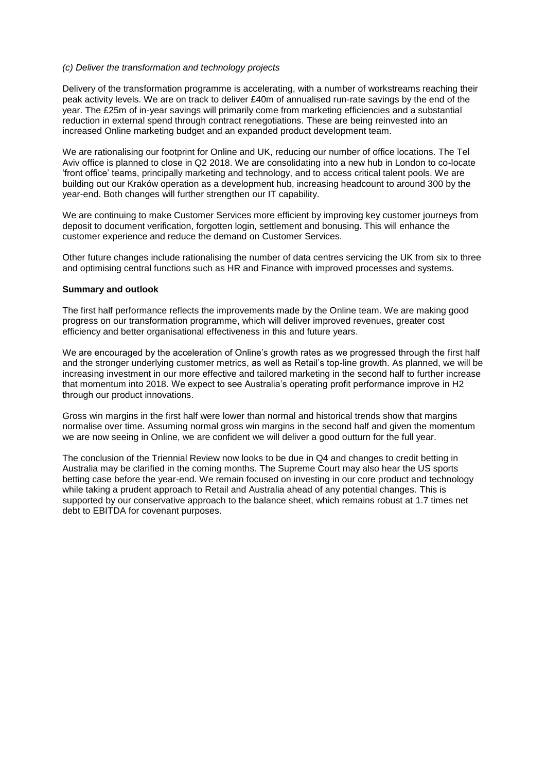# *(c) Deliver the transformation and technology projects*

Delivery of the transformation programme is accelerating, with a number of workstreams reaching their peak activity levels. We are on track to deliver £40m of annualised run-rate savings by the end of the year. The £25m of in-year savings will primarily come from marketing efficiencies and a substantial reduction in external spend through contract renegotiations. These are being reinvested into an increased Online marketing budget and an expanded product development team.

We are rationalising our footprint for Online and UK, reducing our number of office locations. The Tel Aviv office is planned to close in Q2 2018. We are consolidating into a new hub in London to co-locate 'front office' teams, principally marketing and technology, and to access critical talent pools. We are building out our Kraków operation as a development hub, increasing headcount to around 300 by the year-end. Both changes will further strengthen our IT capability.

We are continuing to make Customer Services more efficient by improving key customer journeys from deposit to document verification, forgotten login, settlement and bonusing. This will enhance the customer experience and reduce the demand on Customer Services.

Other future changes include rationalising the number of data centres servicing the UK from six to three and optimising central functions such as HR and Finance with improved processes and systems.

# **Summary and outlook**

The first half performance reflects the improvements made by the Online team. We are making good progress on our transformation programme, which will deliver improved revenues, greater cost efficiency and better organisational effectiveness in this and future years.

We are encouraged by the acceleration of Online's growth rates as we progressed through the first half and the stronger underlying customer metrics, as well as Retail's top-line growth. As planned, we will be increasing investment in our more effective and tailored marketing in the second half to further increase that momentum into 2018. We expect to see Australia's operating profit performance improve in H2 through our product innovations.

Gross win margins in the first half were lower than normal and historical trends show that margins normalise over time. Assuming normal gross win margins in the second half and given the momentum we are now seeing in Online, we are confident we will deliver a good outturn for the full year.

The conclusion of the Triennial Review now looks to be due in Q4 and changes to credit betting in Australia may be clarified in the coming months. The Supreme Court may also hear the US sports betting case before the year-end. We remain focused on investing in our core product and technology while taking a prudent approach to Retail and Australia ahead of any potential changes. This is supported by our conservative approach to the balance sheet, which remains robust at 1.7 times net debt to EBITDA for covenant purposes.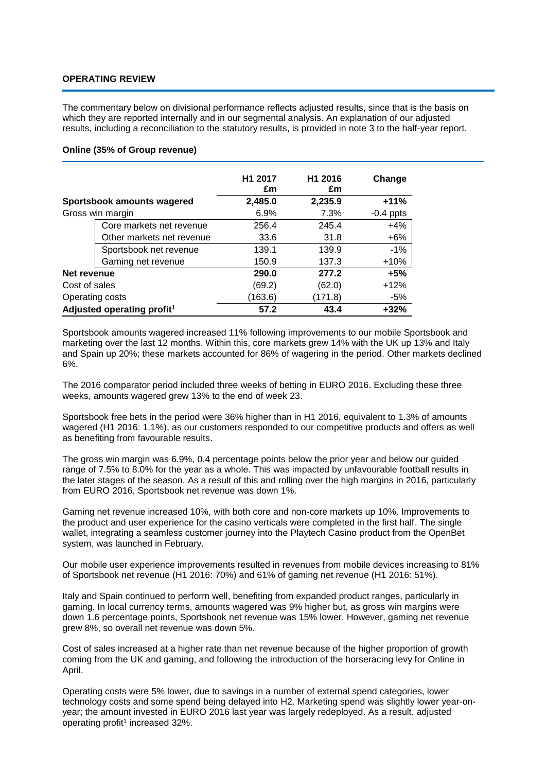# **OPERATING REVIEW**

The commentary below on divisional performance reflects adjusted results, since that is the basis on which they are reported internally and in our segmental analysis. An explanation of our adjusted results, including a reconciliation to the statutory results, is provided in note 3 to the half-year report.

# **Online (35% of Group revenue)**

|                                        | H <sub>1</sub> 2017<br>£m | H <sub>1</sub> 2016<br>£m | Change      |
|----------------------------------------|---------------------------|---------------------------|-------------|
| Sportsbook amounts wagered             | 2,485.0                   | 2,235.9                   | $+11%$      |
| Gross win margin                       | 6.9%                      | 7.3%                      | $-0.4$ ppts |
| Core markets net revenue               | 256.4                     | 245.4                     | $+4%$       |
| Other markets net revenue              | 33.6                      | 31.8                      | +6%         |
| Sportsbook net revenue                 | 139.1                     | 139.9                     | $-1\%$      |
| Gaming net revenue                     | 150.9                     | 137.3                     | $+10%$      |
| Net revenue                            | 290.0                     | 277.2                     | $+5%$       |
| Cost of sales                          | (69.2)                    | (62.0)                    | $+12%$      |
| Operating costs                        | (163.6)                   | (171.8)                   | -5%         |
| Adjusted operating profit <sup>1</sup> | 57.2                      | 43.4                      | $+32%$      |

Sportsbook amounts wagered increased 11% following improvements to our mobile Sportsbook and marketing over the last 12 months. Within this, core markets grew 14% with the UK up 13% and Italy and Spain up 20%; these markets accounted for 86% of wagering in the period. Other markets declined 6%.

The 2016 comparator period included three weeks of betting in EURO 2016. Excluding these three weeks, amounts wagered grew 13% to the end of week 23.

Sportsbook free bets in the period were 36% higher than in H1 2016, equivalent to 1.3% of amounts wagered (H1 2016: 1.1%), as our customers responded to our competitive products and offers as well as benefiting from favourable results.

The gross win margin was 6.9%, 0.4 percentage points below the prior year and below our guided range of 7.5% to 8.0% for the year as a whole. This was impacted by unfavourable football results in the later stages of the season. As a result of this and rolling over the high margins in 2016, particularly from EURO 2016, Sportsbook net revenue was down 1%.

Gaming net revenue increased 10%, with both core and non-core markets up 10%. Improvements to the product and user experience for the casino verticals were completed in the first half. The single wallet, integrating a seamless customer journey into the Playtech Casino product from the OpenBet system, was launched in February.

Our mobile user experience improvements resulted in revenues from mobile devices increasing to 81% of Sportsbook net revenue (H1 2016: 70%) and 61% of gaming net revenue (H1 2016: 51%).

Italy and Spain continued to perform well, benefiting from expanded product ranges, particularly in gaming. In local currency terms, amounts wagered was 9% higher but, as gross win margins were down 1.6 percentage points, Sportsbook net revenue was 15% lower. However, gaming net revenue grew 8%, so overall net revenue was down 5%.

Cost of sales increased at a higher rate than net revenue because of the higher proportion of growth coming from the UK and gaming, and following the introduction of the horseracing levy for Online in April.

Operating costs were 5% lower, due to savings in a number of external spend categories, lower technology costs and some spend being delayed into H2. Marketing spend was slightly lower year-onyear; the amount invested in EURO 2016 last year was largely redeployed. As a result, adjusted operating profit<sup>1</sup> increased 32%.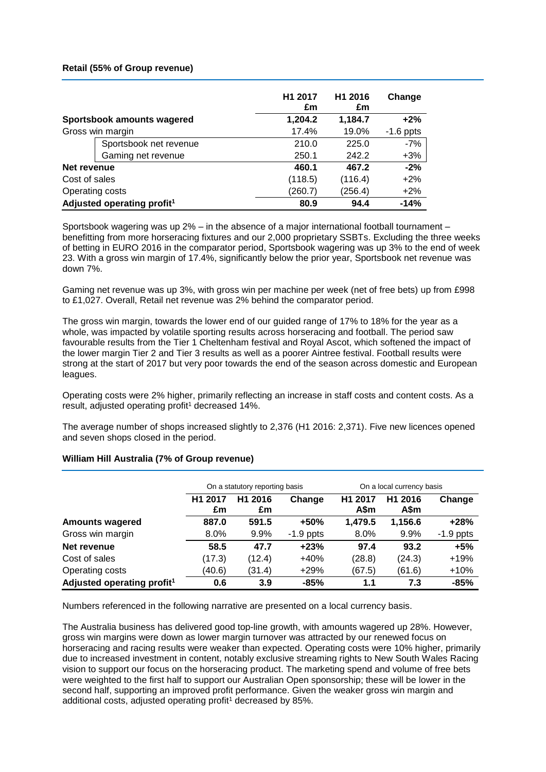# **Retail (55% of Group revenue)**

|                                        | H <sub>1</sub> 2017<br>£m | H <sub>1</sub> 2016<br>£m | Change      |
|----------------------------------------|---------------------------|---------------------------|-------------|
| Sportsbook amounts wagered             | 1,204.2                   | 1,184.7                   | $+2%$       |
| Gross win margin                       | 17.4%                     | 19.0%                     | $-1.6$ ppts |
| Sportsbook net revenue                 | 210.0                     | 225.0                     | $-7%$       |
| Gaming net revenue                     | 250.1                     | 242.2                     | $+3%$       |
| Net revenue                            | 460.1                     | 467.2                     | $-2%$       |
| Cost of sales                          | (118.5)                   | (116.4)                   | $+2\%$      |
| Operating costs                        | (260.7)                   | (256.4)                   | $+2%$       |
| Adjusted operating profit <sup>1</sup> | 80.9                      | 94.4                      | $-14%$      |

Sportsbook wagering was up 2% – in the absence of a major international football tournament – benefitting from more horseracing fixtures and our 2,000 proprietary SSBTs. Excluding the three weeks of betting in EURO 2016 in the comparator period, Sportsbook wagering was up 3% to the end of week 23. With a gross win margin of 17.4%, significantly below the prior year, Sportsbook net revenue was down 7%.

Gaming net revenue was up 3%, with gross win per machine per week (net of free bets) up from £998 to £1,027. Overall, Retail net revenue was 2% behind the comparator period.

The gross win margin, towards the lower end of our guided range of 17% to 18% for the year as a whole, was impacted by volatile sporting results across horseracing and football. The period saw favourable results from the Tier 1 Cheltenham festival and Royal Ascot, which softened the impact of the lower margin Tier 2 and Tier 3 results as well as a poorer Aintree festival. Football results were strong at the start of 2017 but very poor towards the end of the season across domestic and European leagues.

Operating costs were 2% higher, primarily reflecting an increase in staff costs and content costs. As a result, adjusted operating profit<sup>1</sup> decreased 14%.

The average number of shops increased slightly to 2,376 (H1 2016: 2,371). Five new licences opened and seven shops closed in the period.

# **William Hill Australia (7% of Group revenue)**

|                                        |               | On a statutory reporting basis |             | On a local currency basis   |                             |             |  |
|----------------------------------------|---------------|--------------------------------|-------------|-----------------------------|-----------------------------|-------------|--|
|                                        | H1 2017<br>£m | H <sub>1</sub> 2016<br>£m      | Change      | H <sub>1</sub> 2017<br>A\$m | H <sub>1</sub> 2016<br>A\$m | Change      |  |
| <b>Amounts wagered</b>                 | 887.0         | 591.5                          | $+50%$      | 1,479.5                     | 1,156.6                     | $+28%$      |  |
| Gross win margin                       | 8.0%          | $9.9\%$                        | $-1.9$ ppts | $8.0\%$                     | $9.9\%$                     | $-1.9$ ppts |  |
| Net revenue                            | 58.5          | 47.7                           | $+23%$      | 97.4                        | 93.2                        | $+5%$       |  |
| Cost of sales                          | (17.3)        | (12.4)                         | $+40%$      | (28.8)                      | (24.3)                      | $+19%$      |  |
| Operating costs                        | (40.6)        | (31.4)                         | $+29%$      | (67.5)                      | (61.6)                      | $+10%$      |  |
| Adjusted operating profit <sup>1</sup> | 0.6           | 3.9                            | $-85%$      | 1.1                         | 7.3                         | $-85%$      |  |

Numbers referenced in the following narrative are presented on a local currency basis.

The Australia business has delivered good top-line growth, with amounts wagered up 28%. However, gross win margins were down as lower margin turnover was attracted by our renewed focus on horseracing and racing results were weaker than expected. Operating costs were 10% higher, primarily due to increased investment in content, notably exclusive streaming rights to New South Wales Racing vision to support our focus on the horseracing product. The marketing spend and volume of free bets were weighted to the first half to support our Australian Open sponsorship; these will be lower in the second half, supporting an improved profit performance. Given the weaker gross win margin and additional costs, adjusted operating profit<sup>1</sup> decreased by 85%.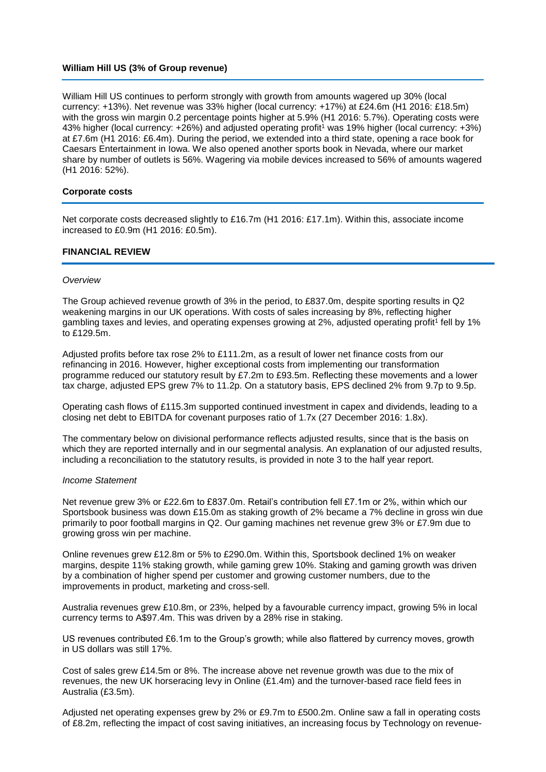# **William Hill US (3% of Group revenue)**

William Hill US continues to perform strongly with growth from amounts wagered up 30% (local currency: +13%). Net revenue was 33% higher (local currency: +17%) at £24.6m (H1 2016: £18.5m) with the gross win margin 0.2 percentage points higher at 5.9% (H1 2016: 5.7%). Operating costs were 43% higher (local currency:  $+26$ %) and adjusted operating profit<sup>1</sup> was 19% higher (local currency:  $+3$ %) at £7.6m (H1 2016: £6.4m). During the period, we extended into a third state, opening a race book for Caesars Entertainment in Iowa. We also opened another sports book in Nevada, where our market share by number of outlets is 56%. Wagering via mobile devices increased to 56% of amounts wagered (H1 2016: 52%).

# **Corporate costs**

Net corporate costs decreased slightly to £16.7m (H1 2016: £17.1m). Within this, associate income increased to £0.9m (H1 2016: £0.5m).

# **FINANCIAL REVIEW**

# *Overview*

The Group achieved revenue growth of 3% in the period, to £837.0m, despite sporting results in Q2 weakening margins in our UK operations. With costs of sales increasing by 8%, reflecting higher gambling taxes and levies, and operating expenses growing at 2%, adjusted operating profit<sup>1</sup> fell by 1% to £129.5m.

Adjusted profits before tax rose 2% to £111.2m, as a result of lower net finance costs from our refinancing in 2016. However, higher exceptional costs from implementing our transformation programme reduced our statutory result by £7.2m to £93.5m. Reflecting these movements and a lower tax charge, adjusted EPS grew 7% to 11.2p. On a statutory basis, EPS declined 2% from 9.7p to 9.5p.

Operating cash flows of £115.3m supported continued investment in capex and dividends, leading to a closing net debt to EBITDA for covenant purposes ratio of 1.7x (27 December 2016: 1.8x).

The commentary below on divisional performance reflects adjusted results, since that is the basis on which they are reported internally and in our segmental analysis. An explanation of our adjusted results, including a reconciliation to the statutory results, is provided in note 3 to the half year report.

#### *Income Statement*

Net revenue grew 3% or £22.6m to £837.0m. Retail's contribution fell £7.1m or 2%, within which our Sportsbook business was down £15.0m as staking growth of 2% became a 7% decline in gross win due primarily to poor football margins in Q2. Our gaming machines net revenue grew 3% or £7.9m due to growing gross win per machine.

Online revenues grew £12.8m or 5% to £290.0m. Within this, Sportsbook declined 1% on weaker margins, despite 11% staking growth, while gaming grew 10%. Staking and gaming growth was driven by a combination of higher spend per customer and growing customer numbers, due to the improvements in product, marketing and cross-sell.

Australia revenues grew £10.8m, or 23%, helped by a favourable currency impact, growing 5% in local currency terms to A\$97.4m. This was driven by a 28% rise in staking.

US revenues contributed £6.1m to the Group's growth; while also flattered by currency moves, growth in US dollars was still 17%.

Cost of sales grew £14.5m or 8%. The increase above net revenue growth was due to the mix of revenues, the new UK horseracing levy in Online (£1.4m) and the turnover-based race field fees in Australia (£3.5m).

Adjusted net operating expenses grew by 2% or £9.7m to £500.2m. Online saw a fall in operating costs of £8.2m, reflecting the impact of cost saving initiatives, an increasing focus by Technology on revenue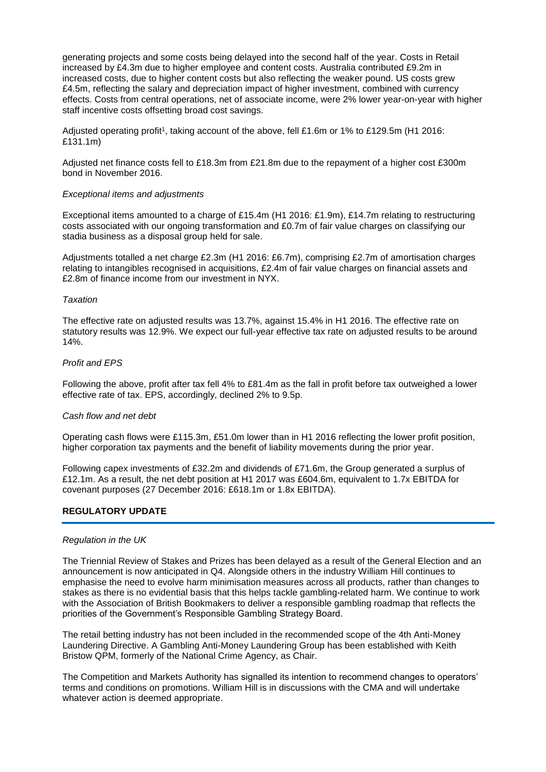generating projects and some costs being delayed into the second half of the year. Costs in Retail increased by £4.3m due to higher employee and content costs. Australia contributed £9.2m in increased costs, due to higher content costs but also reflecting the weaker pound. US costs grew £4.5m, reflecting the salary and depreciation impact of higher investment, combined with currency effects. Costs from central operations, net of associate income, were 2% lower year-on-year with higher staff incentive costs offsetting broad cost savings.

Adjusted operating profit<sup>1</sup>, taking account of the above, fell £1.6m or 1% to £129.5m (H1 2016: £131.1m)

Adjusted net finance costs fell to £18.3m from £21.8m due to the repayment of a higher cost £300m bond in November 2016.

# *Exceptional items and adjustments*

Exceptional items amounted to a charge of £15.4m (H1 2016: £1.9m), £14.7m relating to restructuring costs associated with our ongoing transformation and £0.7m of fair value charges on classifying our stadia business as a disposal group held for sale.

Adjustments totalled a net charge £2.3m (H1 2016: £6.7m), comprising £2.7m of amortisation charges relating to intangibles recognised in acquisitions, £2.4m of fair value charges on financial assets and £2.8m of finance income from our investment in NYX.

# *Taxation*

The effective rate on adjusted results was 13.7%, against 15.4% in H1 2016. The effective rate on statutory results was 12.9%. We expect our full-year effective tax rate on adjusted results to be around 14%.

# *Profit and EPS*

Following the above, profit after tax fell 4% to £81.4m as the fall in profit before tax outweighed a lower effective rate of tax. EPS, accordingly, declined 2% to 9.5p.

# *Cash flow and net debt*

Operating cash flows were £115.3m, £51.0m lower than in H1 2016 reflecting the lower profit position, higher corporation tax payments and the benefit of liability movements during the prior year.

Following capex investments of £32.2m and dividends of £71.6m, the Group generated a surplus of £12.1m. As a result, the net debt position at H1 2017 was £604.6m, equivalent to 1.7x EBITDA for covenant purposes (27 December 2016: £618.1m or 1.8x EBITDA).

# **REGULATORY UPDATE**

#### *Regulation in the UK*

The Triennial Review of Stakes and Prizes has been delayed as a result of the General Election and an announcement is now anticipated in Q4. Alongside others in the industry William Hill continues to emphasise the need to evolve harm minimisation measures across all products, rather than changes to stakes as there is no evidential basis that this helps tackle gambling-related harm. We continue to work with the Association of British Bookmakers to deliver a responsible gambling roadmap that reflects the priorities of the Government's Responsible Gambling Strategy Board.

The retail betting industry has not been included in the recommended scope of the 4th Anti-Money Laundering Directive. A Gambling Anti-Money Laundering Group has been established with Keith Bristow QPM, formerly of the National Crime Agency, as Chair.

The Competition and Markets Authority has signalled its intention to recommend changes to operators' terms and conditions on promotions. William Hill is in discussions with the CMA and will undertake whatever action is deemed appropriate.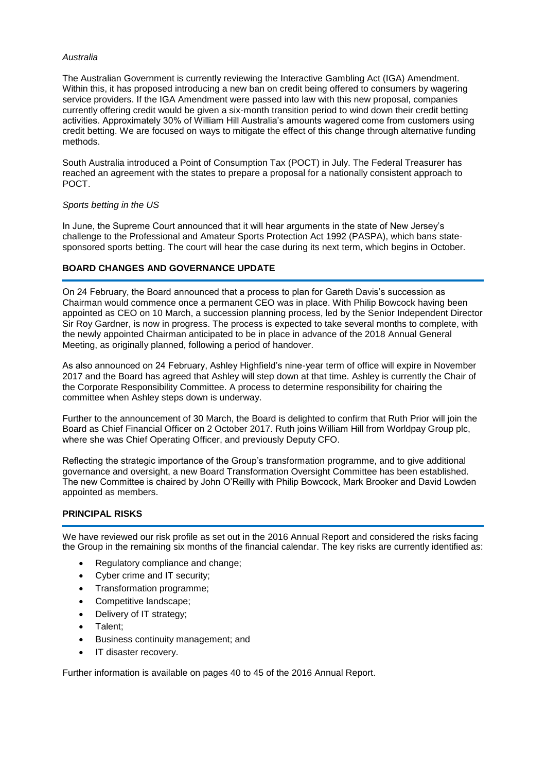# *Australia*

The Australian Government is currently reviewing the Interactive Gambling Act (IGA) Amendment. Within this, it has proposed introducing a new ban on credit being offered to consumers by wagering service providers. If the IGA Amendment were passed into law with this new proposal, companies currently offering credit would be given a six-month transition period to wind down their credit betting activities. Approximately 30% of William Hill Australia's amounts wagered come from customers using credit betting. We are focused on ways to mitigate the effect of this change through alternative funding methods.

South Australia introduced a Point of Consumption Tax (POCT) in July. The Federal Treasurer has reached an agreement with the states to prepare a proposal for a nationally consistent approach to POCT.

# *Sports betting in the US*

In June, the Supreme Court announced that it will hear arguments in the state of New Jersey's challenge to the Professional and Amateur Sports Protection Act 1992 (PASPA), which bans statesponsored sports betting. The court will hear the case during its next term, which begins in October.

# **BOARD CHANGES AND GOVERNANCE UPDATE**

On 24 February, the Board announced that a process to plan for Gareth Davis's succession as Chairman would commence once a permanent CEO was in place. With Philip Bowcock having been appointed as CEO on 10 March, a succession planning process, led by the Senior Independent Director Sir Roy Gardner, is now in progress. The process is expected to take several months to complete, with the newly appointed Chairman anticipated to be in place in advance of the 2018 Annual General Meeting, as originally planned, following a period of handover.

As also announced on 24 February, Ashley Highfield's nine-year term of office will expire in November 2017 and the Board has agreed that Ashley will step down at that time. Ashley is currently the Chair of the Corporate Responsibility Committee. A process to determine responsibility for chairing the committee when Ashley steps down is underway.

Further to the announcement of 30 March, the Board is delighted to confirm that Ruth Prior will join the Board as Chief Financial Officer on 2 October 2017. Ruth joins William Hill from Worldpay Group plc, where she was Chief Operating Officer, and previously Deputy CFO.

Reflecting the strategic importance of the Group's transformation programme, and to give additional governance and oversight, a new Board Transformation Oversight Committee has been established. The new Committee is chaired by John O'Reilly with Philip Bowcock, Mark Brooker and David Lowden appointed as members.

# **PRINCIPAL RISKS**

We have reviewed our risk profile as set out in the 2016 Annual Report and considered the risks facing the Group in the remaining six months of the financial calendar. The key risks are currently identified as:

- Regulatory compliance and change;
- Cyber crime and IT security;
- Transformation programme;
- Competitive landscape;
- Delivery of IT strategy;
- Talent;
- Business continuity management; and
- IT disaster recovery.

Further information is available on pages 40 to 45 of the 2016 Annual Report.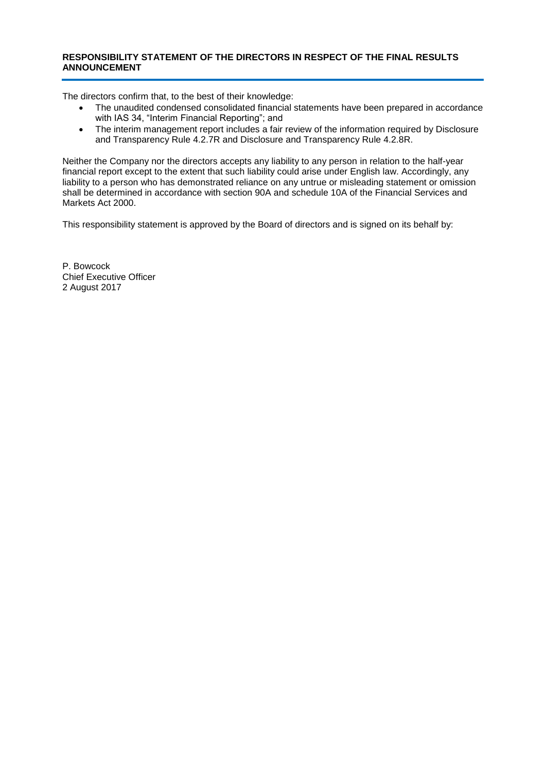# **RESPONSIBILITY STATEMENT OF THE DIRECTORS IN RESPECT OF THE FINAL RESULTS ANNOUNCEMENT**

The directors confirm that, to the best of their knowledge:

- The unaudited condensed consolidated financial statements have been prepared in accordance with IAS 34, "Interim Financial Reporting"; and
- The interim management report includes a fair review of the information required by Disclosure and Transparency Rule 4.2.7R and Disclosure and Transparency Rule 4.2.8R.

Neither the Company nor the directors accepts any liability to any person in relation to the half-year financial report except to the extent that such liability could arise under English law. Accordingly, any liability to a person who has demonstrated reliance on any untrue or misleading statement or omission shall be determined in accordance with section 90A and schedule 10A of the Financial Services and Markets Act 2000.

This responsibility statement is approved by the Board of directors and is signed on its behalf by:

P. Bowcock Chief Executive Officer 2 August 2017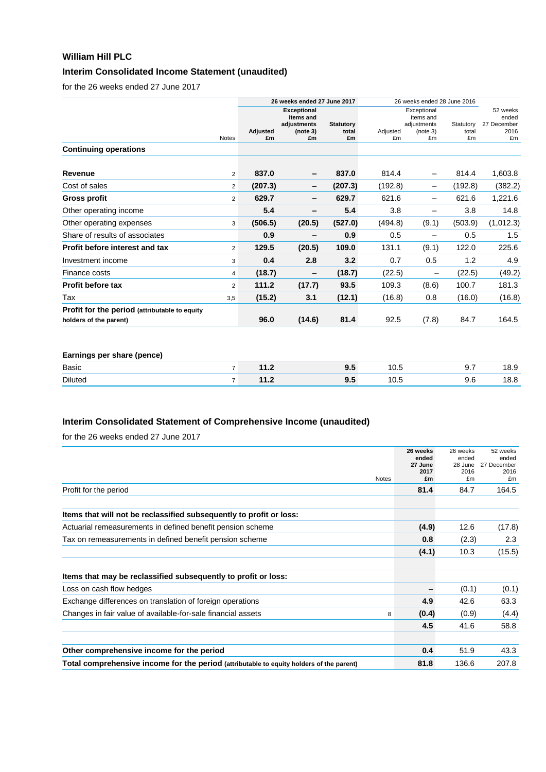# **William Hill PLC**

# **Interim Consolidated Income Statement (unaudited)**

for the 26 weeks ended 27 June 2017

|                                               |                |          | 26 weeks ended 27 June 2017 |                  | 26 weeks ended 28 June 2016 |                          |           |                      |
|-----------------------------------------------|----------------|----------|-----------------------------|------------------|-----------------------------|--------------------------|-----------|----------------------|
|                                               |                |          | <b>Exceptional</b>          |                  |                             | Exceptional              |           | 52 weeks             |
|                                               |                |          | items and<br>adjustments    | <b>Statutory</b> |                             | items and<br>adjustments | Statutory | ended<br>27 December |
|                                               |                | Adjusted | (note 3)                    | total            | Adjusted                    | (note 3)                 | total     | 2016                 |
|                                               | <b>Notes</b>   | £m       | £m                          | £m               | £m                          | £m                       | £m        | £m                   |
| <b>Continuing operations</b>                  |                |          |                             |                  |                             |                          |           |                      |
| Revenue                                       | $\overline{2}$ | 837.0    |                             | 837.0            | 814.4                       |                          | 814.4     | 1,603.8              |
| Cost of sales                                 | $\overline{2}$ | (207.3)  | -                           | (207.3)          | (192.8)                     | $\qquad \qquad -$        | (192.8)   | (382.2)              |
| <b>Gross profit</b>                           | $\overline{2}$ | 629.7    | -                           | 629.7            | 621.6                       | $\overline{\phantom{0}}$ | 621.6     | 1,221.6              |
| Other operating income                        |                | 5.4      |                             | 5.4              | 3.8                         | $\qquad \qquad -$        | 3.8       | 14.8                 |
| Other operating expenses                      | 3              | (506.5)  | (20.5)                      | (527.0)          | (494.8)                     | (9.1)                    | (503.9)   | (1,012.3)            |
| Share of results of associates                |                | 0.9      |                             | 0.9              | 0.5                         |                          | 0.5       | 1.5                  |
| Profit before interest and tax                | $\overline{2}$ | 129.5    | (20.5)                      | 109.0            | 131.1                       | (9.1)                    | 122.0     | 225.6                |
| Investment income                             | 3              | 0.4      | 2.8                         | 3.2              | 0.7                         | 0.5                      | 1.2       | 4.9                  |
| Finance costs                                 | 4              | (18.7)   | -                           | (18.7)           | (22.5)                      |                          | (22.5)    | (49.2)               |
| <b>Profit before tax</b>                      | $\overline{2}$ | 111.2    | (17.7)                      | 93.5             | 109.3                       | (8.6)                    | 100.7     | 181.3                |
| Tax                                           | 3,5            | (15.2)   | 3.1                         | (12.1)           | (16.8)                      | 0.8                      | (16.0)    | (16.8)               |
| Profit for the period (attributable to equity |                |          |                             |                  |                             |                          |           |                      |
| holders of the parent)                        |                | 96.0     | (14.6)                      | 81.4             | 92.5                        | (7.8)                    | 84.7      | 164.5                |
| Earnings per share (pence)                    |                |          |                             |                  |                             |                          |           |                      |
| Basic                                         | $\overline{7}$ | 11.2     |                             | 9.5              | 10.5                        |                          | 9.7       | 18.9                 |
|                                               |                |          |                             |                  |                             |                          |           |                      |

# Diluted 7 **11.2 9.5** 10.5 9.6 18.8

# **Interim Consolidated Statement of Comprehensive Income (unaudited)**

for the 26 weeks ended 27 June 2017

| <b>Notes</b>                                                                             | 26 weeks<br>ended<br>27 June<br>2017<br>£m | 26 weeks<br>ended<br>28 June<br>2016<br>£m | 52 weeks<br>ended<br>27 December<br>2016<br>£m |
|------------------------------------------------------------------------------------------|--------------------------------------------|--------------------------------------------|------------------------------------------------|
| Profit for the period                                                                    | 81.4                                       | 84.7                                       | 164.5                                          |
| Items that will not be reclassified subsequently to profit or loss:                      |                                            |                                            |                                                |
| Actuarial remeasurements in defined benefit pension scheme                               | (4.9)                                      | 12.6                                       | (17.8)                                         |
| Tax on remeasurements in defined benefit pension scheme                                  | 0.8                                        | (2.3)                                      | 2.3                                            |
|                                                                                          | (4.1)                                      | 10.3                                       | (15.5)                                         |
| Items that may be reclassified subsequently to profit or loss:                           |                                            |                                            |                                                |
| Loss on cash flow hedges                                                                 | -                                          | (0.1)                                      | (0.1)                                          |
| Exchange differences on translation of foreign operations                                | 4.9                                        | 42.6                                       | 63.3                                           |
| Changes in fair value of available-for-sale financial assets                             | (0.4)<br>8                                 | (0.9)                                      | (4.4)                                          |
|                                                                                          | 4.5                                        | 41.6                                       | 58.8                                           |
| Other comprehensive income for the period                                                | 0.4                                        | 51.9                                       | 43.3                                           |
| Total comprehensive income for the period (attributable to equity holders of the parent) | 81.8                                       | 136.6                                      | 207.8                                          |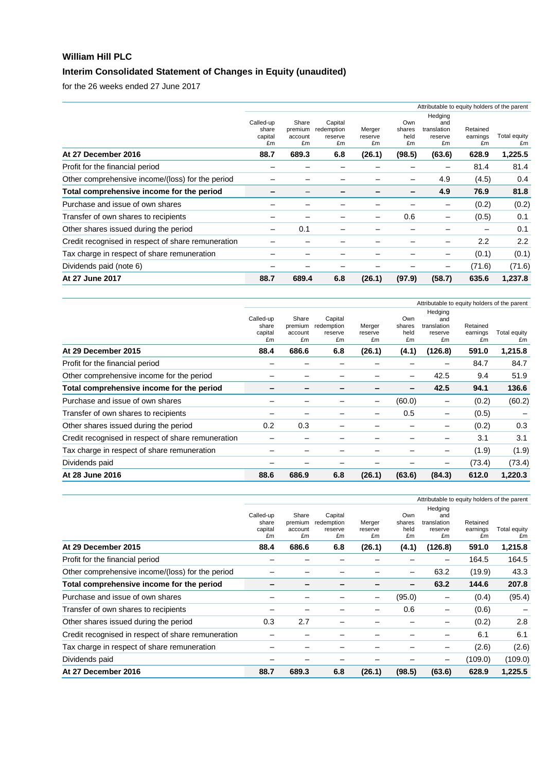# **William Hill PLC Interim Consolidated Statement of Changes in Equity (unaudited)**

for the 26 weeks ended 27 June 2017

|                                                    | Attributable to equity holders of the parent |                                   |                                        |                         |                             |                                                |                            |                    |
|----------------------------------------------------|----------------------------------------------|-----------------------------------|----------------------------------------|-------------------------|-----------------------------|------------------------------------------------|----------------------------|--------------------|
|                                                    | Called-up<br>share<br>capital<br>£m          | Share<br>premium<br>account<br>£m | Capital<br>redemption<br>reserve<br>£m | Merger<br>reserve<br>£m | Own<br>shares<br>held<br>£m | Hedging<br>and<br>translation<br>reserve<br>£m | Retained<br>earnings<br>£m | Total equity<br>£m |
| At 27 December 2016                                | 88.7                                         | 689.3                             | 6.8                                    | (26.1)                  | (98.5)                      | (63.6)                                         | 628.9                      | 1,225.5            |
| Profit for the financial period                    |                                              |                                   |                                        |                         |                             |                                                | 81.4                       | 81.4               |
| Other comprehensive income/(loss) for the period   |                                              |                                   |                                        |                         |                             | 4.9                                            | (4.5)                      | 0.4                |
| Total comprehensive income for the period          |                                              |                                   |                                        |                         |                             | 4.9                                            | 76.9                       | 81.8               |
| Purchase and issue of own shares                   |                                              |                                   |                                        |                         |                             |                                                | (0.2)                      | (0.2)              |
| Transfer of own shares to recipients               |                                              |                                   |                                        |                         | 0.6                         | -                                              | (0.5)                      | 0.1                |
| Other shares issued during the period              |                                              | 0.1                               |                                        |                         |                             |                                                |                            | 0.1                |
| Credit recognised in respect of share remuneration |                                              |                                   |                                        |                         |                             |                                                | 2.2                        | 2.2                |
| Tax charge in respect of share remuneration        |                                              |                                   |                                        |                         |                             | -                                              | (0.1)                      | (0.1)              |
| Dividends paid (note 6)                            |                                              |                                   |                                        |                         |                             |                                                | (71.6)                     | (71.6)             |
| At 27 June 2017                                    | 88.7                                         | 689.4                             | 6.8                                    | (26.1)                  | (97.9)                      | (58.7)                                         | 635.6                      | 1,237.8            |

|                                                    |                                     |                                   |                                        |                         | Attributable to equity holders of the parent |                                                |                            |                    |  |  |
|----------------------------------------------------|-------------------------------------|-----------------------------------|----------------------------------------|-------------------------|----------------------------------------------|------------------------------------------------|----------------------------|--------------------|--|--|
|                                                    | Called-up<br>share<br>capital<br>£m | Share<br>premium<br>account<br>£m | Capital<br>redemption<br>reserve<br>£m | Merger<br>reserve<br>£m | Own<br>shares<br>held<br>£m                  | Hedging<br>and<br>translation<br>reserve<br>£m | Retained<br>earnings<br>£m | Total equity<br>£m |  |  |
| At 29 December 2015                                | 88.4                                | 686.6                             | 6.8                                    | (26.1)                  | (4.1)                                        | (126.8)                                        | 591.0                      | 1,215.8            |  |  |
| Profit for the financial period                    |                                     |                                   |                                        |                         |                                              |                                                | 84.7                       | 84.7               |  |  |
| Other comprehensive income for the period          |                                     |                                   |                                        |                         |                                              | 42.5                                           | 9.4                        | 51.9               |  |  |
| Total comprehensive income for the period          |                                     |                                   |                                        |                         | -                                            | 42.5                                           | 94.1                       | 136.6              |  |  |
| Purchase and issue of own shares                   |                                     |                                   |                                        | -                       | (60.0)                                       | -                                              | (0.2)                      | (60.2)             |  |  |
| Transfer of own shares to recipients               |                                     |                                   |                                        |                         | 0.5                                          |                                                | (0.5)                      |                    |  |  |
| Other shares issued during the period              | 0.2                                 | 0.3                               |                                        |                         |                                              | -                                              | (0.2)                      | 0.3                |  |  |
| Credit recognised in respect of share remuneration |                                     |                                   |                                        |                         |                                              |                                                | 3.1                        | 3.1                |  |  |
| Tax charge in respect of share remuneration        |                                     |                                   |                                        |                         |                                              |                                                | (1.9)                      | (1.9)              |  |  |
| Dividends paid                                     |                                     |                                   |                                        |                         |                                              | -                                              | (73.4)                     | (73.4)             |  |  |
| At 28 June 2016                                    | 88.6                                | 686.9                             | 6.8                                    | (26.1)                  | (63.6)                                       | (84.3)                                         | 612.0                      | 1,220.3            |  |  |

|                                                    | Attributable to equity holders of the parent |                                   |                                        |                         |                             |                                                |                            |                    |
|----------------------------------------------------|----------------------------------------------|-----------------------------------|----------------------------------------|-------------------------|-----------------------------|------------------------------------------------|----------------------------|--------------------|
|                                                    | Called-up<br>share<br>capital<br>£m          | Share<br>premium<br>account<br>£m | Capital<br>redemption<br>reserve<br>£m | Merger<br>reserve<br>£m | Own<br>shares<br>held<br>£m | Hedging<br>and<br>translation<br>reserve<br>£m | Retained<br>earnings<br>£m | Total equity<br>£m |
| At 29 December 2015                                | 88.4                                         | 686.6                             | 6.8                                    | (26.1)                  | (4.1)                       | (126.8)                                        | 591.0                      | 1,215.8            |
| Profit for the financial period                    |                                              |                                   |                                        |                         |                             |                                                | 164.5                      | 164.5              |
| Other comprehensive income/(loss) for the period   |                                              |                                   |                                        |                         |                             | 63.2                                           | (19.9)                     | 43.3               |
| Total comprehensive income for the period          |                                              |                                   |                                        |                         |                             | 63.2                                           | 144.6                      | 207.8              |
| Purchase and issue of own shares                   |                                              |                                   |                                        | -                       | (95.0)                      |                                                | (0.4)                      | (95.4)             |
| Transfer of own shares to recipients               |                                              |                                   |                                        | -                       | 0.6                         | -                                              | (0.6)                      |                    |
| Other shares issued during the period              | 0.3                                          | 2.7                               |                                        |                         |                             |                                                | (0.2)                      | 2.8                |
| Credit recognised in respect of share remuneration |                                              |                                   |                                        |                         |                             |                                                | 6.1                        | 6.1                |
| Tax charge in respect of share remuneration        |                                              |                                   |                                        |                         |                             |                                                | (2.6)                      | (2.6)              |
| Dividends paid                                     |                                              |                                   |                                        |                         |                             | -                                              | (109.0)                    | (109.0)            |
| At 27 December 2016                                | 88.7                                         | 689.3                             | 6.8                                    | (26.1)                  | (98.5)                      | (63.6)                                         | 628.9                      | 1,225.5            |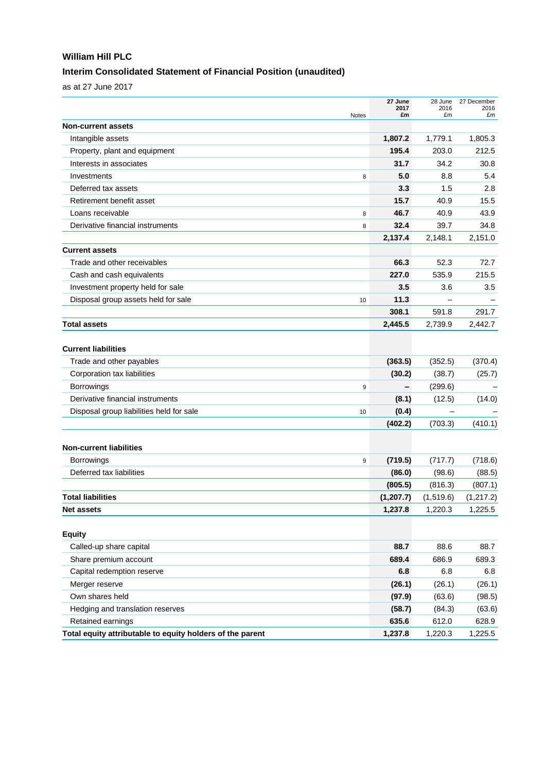# **William Hill PLC**

# **Interim Consolidated Statement of Financial Position (unaudited)**

as at 27 June 2017

|                                                           | 27 June    | 28 June    | 27 December |
|-----------------------------------------------------------|------------|------------|-------------|
| Notes                                                     | 2017<br>£m | 2016<br>£m | 2016<br>£m  |
| <b>Non-current assets</b>                                 |            |            |             |
| Intangible assets                                         | 1,807.2    | 1,779.1    | 1,805.3     |
| Property, plant and equipment                             | 195.4      | 203.0      | 212.5       |
| Interests in associates                                   | 31.7       | 34.2       | 30.8        |
| Investments<br>8                                          | 5.0        | 8.8        | 5.4         |
| Deferred tax assets                                       | 3.3        | 1.5        | 2.8         |
| Retirement benefit asset                                  | 15.7       | 40.9       | 15.5        |
| Loans receivable<br>8                                     | 46.7       | 40.9       | 43.9        |
| Derivative financial instruments<br>8                     | 32.4       | 39.7       | 34.8        |
|                                                           | 2,137.4    | 2,148.1    | 2,151.0     |
| <b>Current assets</b>                                     |            |            |             |
| Trade and other receivables                               | 66.3       | 52.3       | 72.7        |
| Cash and cash equivalents                                 | 227.0      | 535.9      | 215.5       |
| Investment property held for sale                         | 3.5        | 3.6        | 3.5         |
| Disposal group assets held for sale<br>10                 | 11.3       | -          |             |
|                                                           | 308.1      | 591.8      | 291.7       |
| <b>Total assets</b>                                       | 2,445.5    | 2,739.9    | 2,442.7     |
|                                                           |            |            |             |
| <b>Current liabilities</b>                                |            |            |             |
| Trade and other payables                                  | (363.5)    | (352.5)    | (370.4)     |
| Corporation tax liabilities                               | (30.2)     | (38.7)     | (25.7)      |
| <b>Borrowings</b><br>9                                    |            | (299.6)    |             |
| Derivative financial instruments                          | (8.1)      | (12.5)     | (14.0)      |
| Disposal group liabilities held for sale<br>10            | (0.4)      |            |             |
|                                                           | (402.2)    | (703.3)    | (410.1)     |
|                                                           |            |            |             |
| <b>Non-current liabilities</b>                            |            |            |             |
| <b>Borrowings</b><br>9                                    | (719.5)    | (717.7)    | (718.6)     |
| Deferred tax liabilities                                  | (86.0)     | (98.6)     | (88.5)      |
|                                                           | (805.5)    | (816.3)    | (807.1)     |
| <b>Total liabilities</b>                                  | (1, 207.7) | (1,519.6)  | (1, 217.2)  |
| <b>Net assets</b>                                         | 1,237.8    | 1,220.3    | 1,225.5     |
| <b>Equity</b>                                             |            |            |             |
| Called-up share capital                                   | 88.7       | 88.6       | 88.7        |
| Share premium account                                     | 689.4      | 686.9      | 689.3       |
| Capital redemption reserve                                | 6.8        | 6.8        | 6.8         |
| Merger reserve                                            | (26.1)     | (26.1)     | (26.1)      |
| Own shares held                                           | (97.9)     | (63.6)     | (98.5)      |
| Hedging and translation reserves                          | (58.7)     | (84.3)     | (63.6)      |
| Retained earnings                                         | 635.6      | 612.0      | 628.9       |
| Total equity attributable to equity holders of the parent | 1,237.8    | 1,220.3    | 1,225.5     |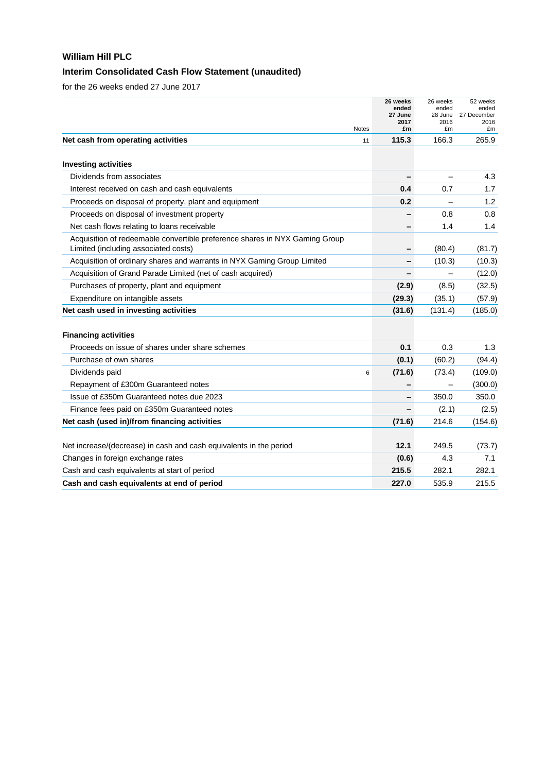# **William Hill PLC**

# **Interim Consolidated Cash Flow Statement (unaudited)**

for the 26 weeks ended 27 June 2017

| <b>Notes</b>                                                                                                        | 26 weeks<br>ended<br>27 June<br>2017<br>£m | 26 weeks<br>ended<br>28 June<br>2016<br>£m | 52 weeks<br>ended<br>27 December<br>2016<br>£m |
|---------------------------------------------------------------------------------------------------------------------|--------------------------------------------|--------------------------------------------|------------------------------------------------|
| Net cash from operating activities<br>11                                                                            | 115.3                                      | 166.3                                      | 265.9                                          |
| <b>Investing activities</b>                                                                                         |                                            |                                            |                                                |
| Dividends from associates                                                                                           |                                            |                                            | 4.3                                            |
| Interest received on cash and cash equivalents                                                                      | 0.4                                        | 0.7                                        | 1.7                                            |
| Proceeds on disposal of property, plant and equipment                                                               | 0.2                                        |                                            | 1.2                                            |
| Proceeds on disposal of investment property                                                                         |                                            | 0.8                                        | 0.8                                            |
| Net cash flows relating to loans receivable                                                                         |                                            | 1.4                                        | 1.4                                            |
| Acquisition of redeemable convertible preference shares in NYX Gaming Group<br>Limited (including associated costs) |                                            | (80.4)                                     | (81.7)                                         |
| Acquisition of ordinary shares and warrants in NYX Gaming Group Limited                                             | -                                          | (10.3)                                     | (10.3)                                         |
| Acquisition of Grand Parade Limited (net of cash acquired)                                                          |                                            | -                                          | (12.0)                                         |
| Purchases of property, plant and equipment                                                                          | (2.9)                                      | (8.5)                                      | (32.5)                                         |
| Expenditure on intangible assets                                                                                    | (29.3)                                     | (35.1)                                     | (57.9)                                         |
| Net cash used in investing activities                                                                               | (31.6)                                     | (131.4)                                    | (185.0)                                        |
| <b>Financing activities</b>                                                                                         |                                            |                                            |                                                |
| Proceeds on issue of shares under share schemes                                                                     | 0.1                                        | 0.3                                        | 1.3                                            |
| Purchase of own shares                                                                                              | (0.1)                                      | (60.2)                                     | (94.4)                                         |
| Dividends paid<br>6                                                                                                 | (71.6)                                     | (73.4)                                     | (109.0)                                        |
| Repayment of £300m Guaranteed notes                                                                                 | -                                          | $\overline{\phantom{0}}$                   | (300.0)                                        |
| Issue of £350m Guaranteed notes due 2023                                                                            |                                            | 350.0                                      | 350.0                                          |
| Finance fees paid on £350m Guaranteed notes                                                                         |                                            | (2.1)                                      | (2.5)                                          |
| Net cash (used in)/from financing activities                                                                        | (71.6)                                     | 214.6                                      | (154.6)                                        |
| Net increase/(decrease) in cash and cash equivalents in the period                                                  | 12.1                                       | 249.5                                      | (73.7)                                         |
| Changes in foreign exchange rates                                                                                   | (0.6)                                      | 4.3                                        | 7.1                                            |
| Cash and cash equivalents at start of period                                                                        | 215.5                                      | 282.1                                      | 282.1                                          |
| Cash and cash equivalents at end of period                                                                          | 227.0                                      | 535.9                                      | 215.5                                          |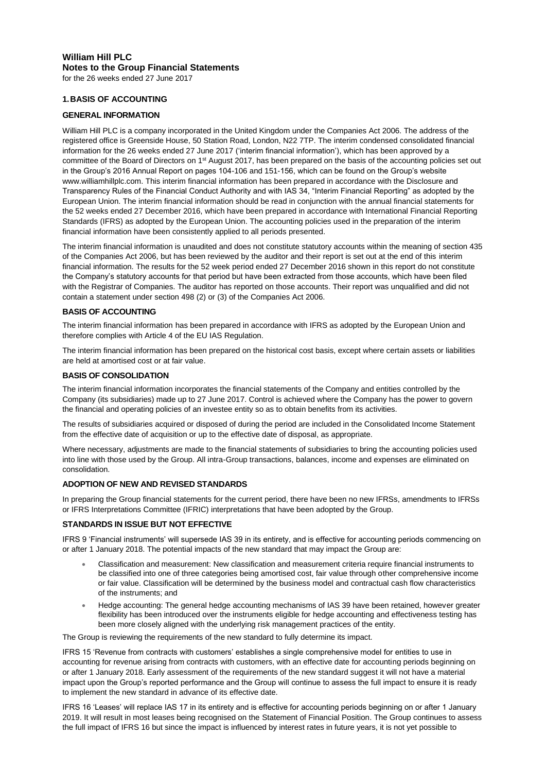# **William Hill PLC Notes to the Group Financial Statements**

for the 26 weeks ended 27 June 2017

# **1.BASIS OF ACCOUNTING**

# **GENERAL INFORMATION**

William Hill PLC is a company incorporated in the United Kingdom under the Companies Act 2006. The address of the registered office is Greenside House, 50 Station Road, London, N22 7TP. The interim condensed consolidated financial information for the 26 weeks ended 27 June 2017 ('interim financial information'), which has been approved by a committee of the Board of Directors on 1<sup>st</sup> August 2017, has been prepared on the basis of the accounting policies set out in the Group's 2016 Annual Report on pages 104-106 and 151-156, which can be found on the Group's website www.williamhillplc.com. This interim financial information has been prepared in accordance with the Disclosure and Transparency Rules of the Financial Conduct Authority and with IAS 34, "Interim Financial Reporting" as adopted by the European Union. The interim financial information should be read in conjunction with the annual financial statements for the 52 weeks ended 27 December 2016, which have been prepared in accordance with International Financial Reporting Standards (IFRS) as adopted by the European Union. The accounting policies used in the preparation of the interim financial information have been consistently applied to all periods presented.

The interim financial information is unaudited and does not constitute statutory accounts within the meaning of section 435 of the Companies Act 2006, but has been reviewed by the auditor and their report is set out at the end of this interim financial information. The results for the 52 week period ended 27 December 2016 shown in this report do not constitute the Company's statutory accounts for that period but have been extracted from those accounts, which have been filed with the Registrar of Companies. The auditor has reported on those accounts. Their report was unqualified and did not contain a statement under section 498 (2) or (3) of the Companies Act 2006.

#### **BASIS OF ACCOUNTING**

The interim financial information has been prepared in accordance with IFRS as adopted by the European Union and therefore complies with Article 4 of the EU IAS Regulation.

The interim financial information has been prepared on the historical cost basis, except where certain assets or liabilities are held at amortised cost or at fair value.

## **BASIS OF CONSOLIDATION**

The interim financial information incorporates the financial statements of the Company and entities controlled by the Company (its subsidiaries) made up to 27 June 2017. Control is achieved where the Company has the power to govern the financial and operating policies of an investee entity so as to obtain benefits from its activities.

The results of subsidiaries acquired or disposed of during the period are included in the Consolidated Income Statement from the effective date of acquisition or up to the effective date of disposal, as appropriate.

Where necessary, adjustments are made to the financial statements of subsidiaries to bring the accounting policies used into line with those used by the Group. All intra-Group transactions, balances, income and expenses are eliminated on consolidation.

## **ADOPTION OF NEW AND REVISED STANDARDS**

In preparing the Group financial statements for the current period, there have been no new IFRSs, amendments to IFRSs or IFRS Interpretations Committee (IFRIC) interpretations that have been adopted by the Group.

#### **STANDARDS IN ISSUE BUT NOT EFFECTIVE**

IFRS 9 'Financial instruments' will supersede IAS 39 in its entirety, and is effective for accounting periods commencing on or after 1 January 2018. The potential impacts of the new standard that may impact the Group are:

- Classification and measurement: New classification and measurement criteria require financial instruments to be classified into one of three categories being amortised cost, fair value through other comprehensive income or fair value. Classification will be determined by the business model and contractual cash flow characteristics of the instruments; and
- Hedge accounting: The general hedge accounting mechanisms of IAS 39 have been retained, however greater flexibility has been introduced over the instruments eligible for hedge accounting and effectiveness testing has been more closely aligned with the underlying risk management practices of the entity.

The Group is reviewing the requirements of the new standard to fully determine its impact.

IFRS 15 'Revenue from contracts with customers' establishes a single comprehensive model for entities to use in accounting for revenue arising from contracts with customers, with an effective date for accounting periods beginning on or after 1 January 2018. Early assessment of the requirements of the new standard suggest it will not have a material impact upon the Group's reported performance and the Group will continue to assess the full impact to ensure it is ready to implement the new standard in advance of its effective date.

IFRS 16 'Leases' will replace IAS 17 in its entirety and is effective for accounting periods beginning on or after 1 January 2019. It will result in most leases being recognised on the Statement of Financial Position. The Group continues to assess the full impact of IFRS 16 but since the impact is influenced by interest rates in future years, it is not yet possible to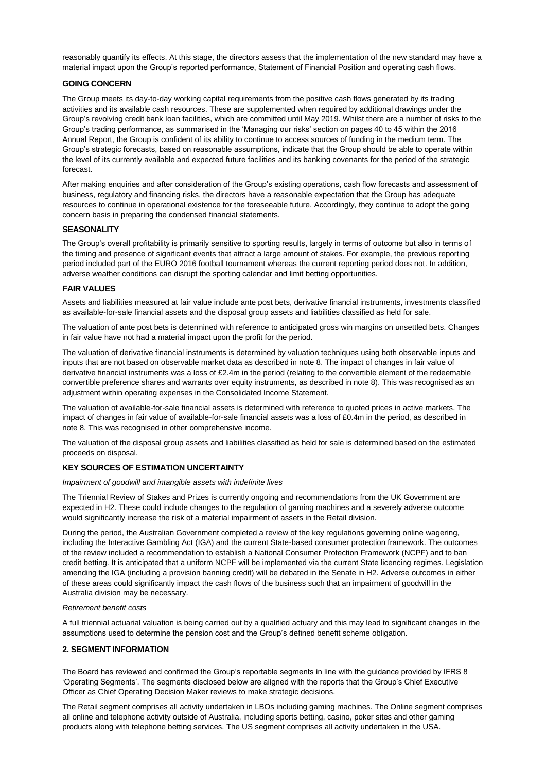reasonably quantify its effects. At this stage, the directors assess that the implementation of the new standard may have a material impact upon the Group's reported performance, Statement of Financial Position and operating cash flows.

#### **GOING CONCERN**

The Group meets its day-to-day working capital requirements from the positive cash flows generated by its trading activities and its available cash resources. These are supplemented when required by additional drawings under the Group's revolving credit bank loan facilities, which are committed until May 2019. Whilst there are a number of risks to the Group's trading performance, as summarised in the 'Managing our risks' section on pages 40 to 45 within the 2016 Annual Report, the Group is confident of its ability to continue to access sources of funding in the medium term. The Group's strategic forecasts, based on reasonable assumptions, indicate that the Group should be able to operate within the level of its currently available and expected future facilities and its banking covenants for the period of the strategic forecast.

After making enquiries and after consideration of the Group's existing operations, cash flow forecasts and assessment of business, regulatory and financing risks, the directors have a reasonable expectation that the Group has adequate resources to continue in operational existence for the foreseeable future. Accordingly, they continue to adopt the going concern basis in preparing the condensed financial statements.

#### **SEASONALITY**

The Group's overall profitability is primarily sensitive to sporting results, largely in terms of outcome but also in terms of the timing and presence of significant events that attract a large amount of stakes. For example, the previous reporting period included part of the EURO 2016 football tournament whereas the current reporting period does not. In addition, adverse weather conditions can disrupt the sporting calendar and limit betting opportunities.

#### **FAIR VALUES**

Assets and liabilities measured at fair value include ante post bets, derivative financial instruments, investments classified as available-for-sale financial assets and the disposal group assets and liabilities classified as held for sale.

The valuation of ante post bets is determined with reference to anticipated gross win margins on unsettled bets. Changes in fair value have not had a material impact upon the profit for the period.

The valuation of derivative financial instruments is determined by valuation techniques using both observable inputs and inputs that are not based on observable market data as described in note 8. The impact of changes in fair value of derivative financial instruments was a loss of £2.4m in the period (relating to the convertible element of the redeemable convertible preference shares and warrants over equity instruments, as described in note 8). This was recognised as an adjustment within operating expenses in the Consolidated Income Statement.

The valuation of available-for-sale financial assets is determined with reference to quoted prices in active markets. The impact of changes in fair value of available-for-sale financial assets was a loss of £0.4m in the period, as described in note 8. This was recognised in other comprehensive income.

The valuation of the disposal group assets and liabilities classified as held for sale is determined based on the estimated proceeds on disposal.

### **KEY SOURCES OF ESTIMATION UNCERTAINTY**

*Impairment of goodwill and intangible assets with indefinite lives*

The Triennial Review of Stakes and Prizes is currently ongoing and recommendations from the UK Government are expected in H2. These could include changes to the regulation of gaming machines and a severely adverse outcome would significantly increase the risk of a material impairment of assets in the Retail division.

During the period, the Australian Government completed a review of the key regulations governing online wagering, including the Interactive Gambling Act (IGA) and the current State-based consumer protection framework. The outcomes of the review included a recommendation to establish a National Consumer Protection Framework (NCPF) and to ban credit betting. It is anticipated that a uniform NCPF will be implemented via the current State licencing regimes. Legislation amending the IGA (including a provision banning credit) will be debated in the Senate in H2. Adverse outcomes in either of these areas could significantly impact the cash flows of the business such that an impairment of goodwill in the Australia division may be necessary.

#### *Retirement benefit costs*

A full triennial actuarial valuation is being carried out by a qualified actuary and this may lead to significant changes in the assumptions used to determine the pension cost and the Group's defined benefit scheme obligation.

# **2. SEGMENT INFORMATION**

The Board has reviewed and confirmed the Group's reportable segments in line with the guidance provided by IFRS 8 'Operating Segments'. The segments disclosed below are aligned with the reports that the Group's Chief Executive Officer as Chief Operating Decision Maker reviews to make strategic decisions.

The Retail segment comprises all activity undertaken in LBOs including gaming machines. The Online segment comprises all online and telephone activity outside of Australia, including sports betting, casino, poker sites and other gaming products along with telephone betting services. The US segment comprises all activity undertaken in the USA.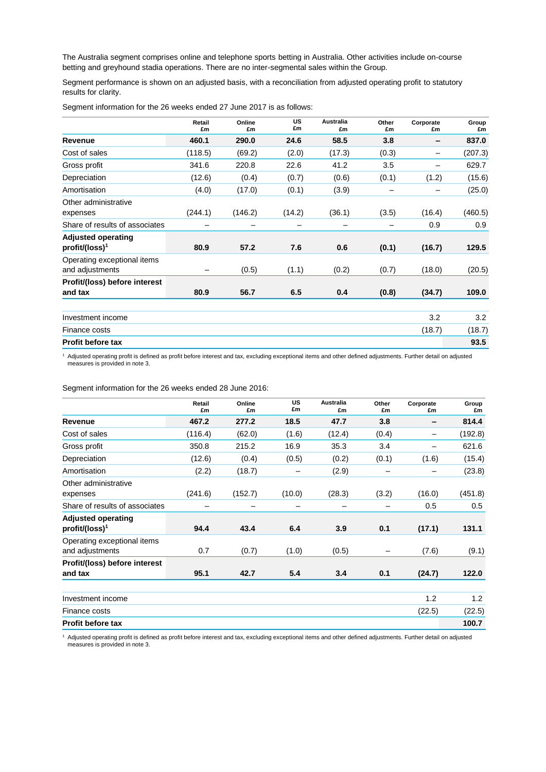The Australia segment comprises online and telephone sports betting in Australia. Other activities include on-course betting and greyhound stadia operations. There are no inter-segmental sales within the Group.

Segment performance is shown on an adjusted basis, with a reconciliation from adjusted operating profit to statutory results for clarity.

Segment information for the 26 weeks ended 27 June 2017 is as follows:

|                                                 | Retail<br>£m | Online<br>£m | <b>US</b><br>£m | <b>Australia</b><br>£m | Other<br>£m | Corporate<br>£m | Group<br>£m |
|-------------------------------------------------|--------------|--------------|-----------------|------------------------|-------------|-----------------|-------------|
| Revenue                                         | 460.1        | 290.0        | 24.6            | 58.5                   | 3.8         |                 | 837.0       |
| Cost of sales                                   | (118.5)      | (69.2)       | (2.0)           | (17.3)                 | (0.3)       | -               | (207.3)     |
| Gross profit                                    | 341.6        | 220.8        | 22.6            | 41.2                   | 3.5         |                 | 629.7       |
| Depreciation                                    | (12.6)       | (0.4)        | (0.7)           | (0.6)                  | (0.1)       | (1.2)           | (15.6)      |
| Amortisation                                    | (4.0)        | (17.0)       | (0.1)           | (3.9)                  |             |                 | (25.0)      |
| Other administrative<br>expenses                | (244.1)      | (146.2)      | (14.2)          | (36.1)                 | (3.5)       | (16.4)          | (460.5)     |
| Share of results of associates                  | -            | -            | -               | -                      |             | 0.9             | 0.9         |
| <b>Adjusted operating</b><br>$profit/ (loss)^1$ | 80.9         | 57.2         | 7.6             | 0.6                    | (0.1)       | (16.7)          | 129.5       |
| Operating exceptional items<br>and adjustments  | -            | (0.5)        | (1.1)           | (0.2)                  | (0.7)       | (18.0)          | (20.5)      |
| Profit/(loss) before interest<br>and tax        | 80.9         | 56.7         | 6.5             | 0.4                    | (0.8)       | (34.7)          | 109.0       |
|                                                 |              |              |                 |                        |             |                 |             |
| Investment income                               |              |              |                 |                        |             | 3.2             | 3.2         |
| Finance costs                                   |              |              |                 |                        |             | (18.7)          | (18.7)      |
| <b>Profit before tax</b>                        |              |              |                 |                        |             |                 | 93.5        |

<sup>1</sup> Adjusted operating profit is defined as profit before interest and tax, excluding exceptional items and other defined adjustments. Further detail on adjusted measures is provided in note 3.

Segment information for the 26 weeks ended 28 June 2016:

|                                                         | Retail<br>£m | Online<br>£m | <b>US</b><br>£m | <b>Australia</b><br>£m | Other<br>£m | Corporate<br>£m | Group<br>£m |
|---------------------------------------------------------|--------------|--------------|-----------------|------------------------|-------------|-----------------|-------------|
| Revenue                                                 | 467.2        | 277.2        | 18.5            | 47.7                   | 3.8         |                 | 814.4       |
| Cost of sales                                           | (116.4)      | (62.0)       | (1.6)           | (12.4)                 | (0.4)       | -               | (192.8)     |
| Gross profit                                            | 350.8        | 215.2        | 16.9            | 35.3                   | 3.4         |                 | 621.6       |
| Depreciation                                            | (12.6)       | (0.4)        | (0.5)           | (0.2)                  | (0.1)       | (1.6)           | (15.4)      |
| Amortisation                                            | (2.2)        | (18.7)       |                 | (2.9)                  |             |                 | (23.8)      |
| Other administrative<br>expenses                        | (241.6)      | (152.7)      | (10.0)          | (28.3)                 | (3.2)       | (16.0)          | (451.8)     |
| Share of results of associates                          |              |              |                 |                        |             | 0.5             | 0.5         |
| <b>Adjusted operating</b><br>profit/(loss) <sup>1</sup> | 94.4         | 43.4         | 6.4             | 3.9                    | 0.1         | (17.1)          | 131.1       |
| Operating exceptional items<br>and adjustments          | 0.7          | (0.7)        | (1.0)           | (0.5)                  |             | (7.6)           | (9.1)       |
| Profit/(loss) before interest<br>and tax                | 95.1         | 42.7         | 5.4             | 3.4                    | 0.1         | (24.7)          | 122.0       |
|                                                         |              |              |                 |                        |             |                 |             |
| Investment income                                       |              |              |                 |                        |             | 1.2             | 1.2         |
| Finance costs                                           |              |              |                 |                        |             | (22.5)          | (22.5)      |
| <b>Profit before tax</b>                                |              |              |                 |                        |             |                 | 100.7       |

<sup>1</sup> Adjusted operating profit is defined as profit before interest and tax, excluding exceptional items and other defined adjustments. Further detail on adjusted measures is provided in note 3.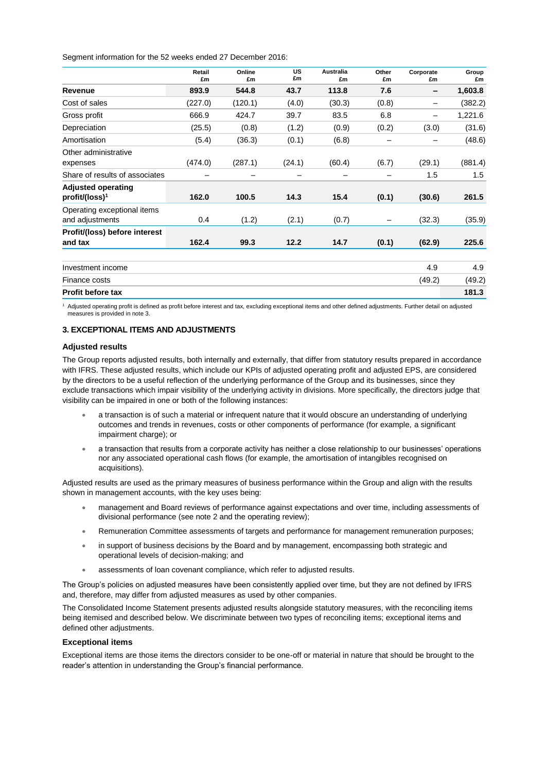Segment information for the 52 weeks ended 27 December 2016:

|                                                         | Retail<br>£m | Online<br>£m | US<br>£m | Australia<br>£m | Other<br>£m | Corporate<br>£m | Group<br>£m |
|---------------------------------------------------------|--------------|--------------|----------|-----------------|-------------|-----------------|-------------|
| Revenue                                                 | 893.9        | 544.8        | 43.7     | 113.8           | 7.6         | -               | 1,603.8     |
| Cost of sales                                           | (227.0)      | (120.1)      | (4.0)    | (30.3)          | (0.8)       | -               | (382.2)     |
| Gross profit                                            | 666.9        | 424.7        | 39.7     | 83.5            | 6.8         | -               | 1,221.6     |
| Depreciation                                            | (25.5)       | (0.8)        | (1.2)    | (0.9)           | (0.2)       | (3.0)           | (31.6)      |
| Amortisation                                            | (5.4)        | (36.3)       | (0.1)    | (6.8)           |             |                 | (48.6)      |
| Other administrative<br>expenses                        | (474.0)      | (287.1)      | (24.1)   | (60.4)          | (6.7)       | (29.1)          | (881.4)     |
| Share of results of associates                          |              |              |          |                 |             | 1.5             | 1.5         |
| <b>Adjusted operating</b><br>profit/(loss) <sup>1</sup> | 162.0        | 100.5        | 14.3     | 15.4            | (0.1)       | (30.6)          | 261.5       |
| Operating exceptional items<br>and adjustments          | 0.4          | (1.2)        | (2.1)    | (0.7)           |             | (32.3)          | (35.9)      |
| Profit/(loss) before interest<br>and tax                | 162.4        | 99.3         | 12.2     | 14.7            | (0.1)       | (62.9)          | 225.6       |
|                                                         |              |              |          |                 |             |                 |             |
| Investment income                                       |              |              |          |                 |             | 4.9             | 4.9         |
| Finance costs                                           |              |              |          |                 |             | (49.2)          | (49.2)      |
| <b>Profit before tax</b>                                |              |              |          |                 |             |                 | 181.3       |

<sup>1</sup> Adjusted operating profit is defined as profit before interest and tax, excluding exceptional items and other defined adjustments. Further detail on adjusted measures is provided in note 3.

# **3. EXCEPTIONAL ITEMS AND ADJUSTMENTS**

#### **Adjusted results**

The Group reports adjusted results, both internally and externally, that differ from statutory results prepared in accordance with IFRS. These adjusted results, which include our KPIs of adjusted operating profit and adjusted EPS, are considered by the directors to be a useful reflection of the underlying performance of the Group and its businesses, since they exclude transactions which impair visibility of the underlying activity in divisions. More specifically, the directors judge that visibility can be impaired in one or both of the following instances:

- a transaction is of such a material or infrequent nature that it would obscure an understanding of underlying outcomes and trends in revenues, costs or other components of performance (for example, a significant impairment charge); or
- a transaction that results from a corporate activity has neither a close relationship to our businesses' operations nor any associated operational cash flows (for example, the amortisation of intangibles recognised on acquisitions).

Adjusted results are used as the primary measures of business performance within the Group and align with the results shown in management accounts, with the key uses being:

- management and Board reviews of performance against expectations and over time, including assessments of divisional performance (see note 2 and the operating review);
- Remuneration Committee assessments of targets and performance for management remuneration purposes;
- in support of business decisions by the Board and by management, encompassing both strategic and operational levels of decision-making; and
- assessments of loan covenant compliance, which refer to adjusted results.

The Group's policies on adjusted measures have been consistently applied over time, but they are not defined by IFRS and, therefore, may differ from adjusted measures as used by other companies.

The Consolidated Income Statement presents adjusted results alongside statutory measures, with the reconciling items being itemised and described below. We discriminate between two types of reconciling items; exceptional items and defined other adjustments.

### **Exceptional items**

Exceptional items are those items the directors consider to be one-off or material in nature that should be brought to the reader's attention in understanding the Group's financial performance.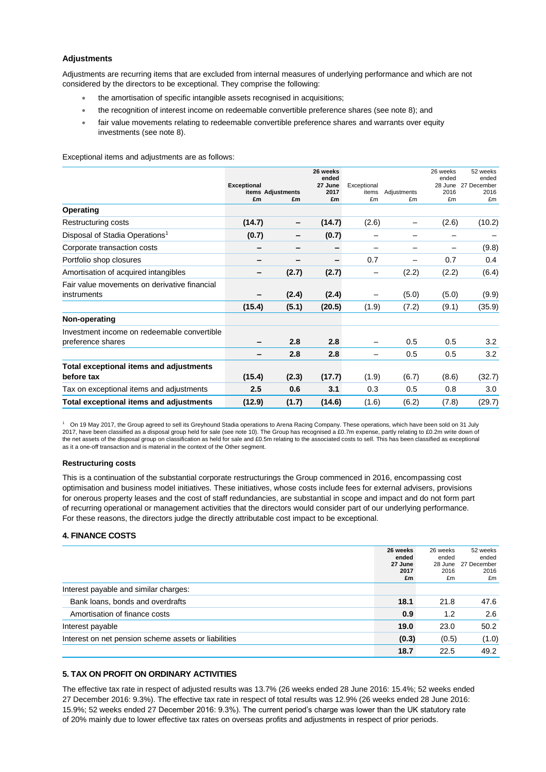#### **Adjustments**

Adjustments are recurring items that are excluded from internal measures of underlying performance and which are not considered by the directors to be exceptional. They comprise the following:

- the amortisation of specific intangible assets recognised in acquisitions;
- the recognition of interest income on redeemable convertible preference shares (see note 8); and
- fair value movements relating to redeemable convertible preference shares and warrants over equity investments (see note 8).

Exceptional items and adjustments are as follows:

|                                              |                    |                   | 26 weeks<br>ended |                      |             | 26 weeks<br>ended | 52 weeks<br>ended           |
|----------------------------------------------|--------------------|-------------------|-------------------|----------------------|-------------|-------------------|-----------------------------|
|                                              | <b>Exceptional</b> | items Adjustments | 27 June<br>2017   | Exceptional<br>items | Adjustments | 2016              | 28 June 27 December<br>2016 |
|                                              | £m                 | £m                | £m                | £m                   | £m          | £m                | £m                          |
| Operating                                    |                    |                   |                   |                      |             |                   |                             |
| Restructuring costs                          | (14.7)             | -                 | (14.7)            | (2.6)                |             | (2.6)             | (10.2)                      |
| Disposal of Stadia Operations <sup>1</sup>   | (0.7)              | -                 | (0.7)             | -                    |             |                   |                             |
| Corporate transaction costs                  |                    | -                 |                   |                      |             |                   | (9.8)                       |
| Portfolio shop closures                      |                    | -                 |                   | 0.7                  |             | 0.7               | 0.4                         |
| Amortisation of acquired intangibles         |                    | (2.7)             | (2.7)             | -                    | (2.2)       | (2.2)             | (6.4)                       |
| Fair value movements on derivative financial |                    |                   |                   |                      |             |                   |                             |
| instruments                                  |                    | (2.4)             | (2.4)             |                      | (5.0)       | (5.0)             | (9.9)                       |
|                                              | (15.4)             | (5.1)             | (20.5)            | (1.9)                | (7.2)       | (9.1)             | (35.9)                      |
| Non-operating                                |                    |                   |                   |                      |             |                   |                             |
| Investment income on redeemable convertible  |                    |                   |                   |                      |             |                   |                             |
| preference shares                            |                    | 2.8               | 2.8               |                      | 0.5         | 0.5               | 3.2                         |
|                                              |                    | 2.8               | 2.8               | -                    | 0.5         | 0.5               | 3.2                         |
| Total exceptional items and adjustments      |                    |                   |                   |                      |             |                   |                             |
| before tax                                   | (15.4)             | (2.3)             | (17.7)            | (1.9)                | (6.7)       | (8.6)             | (32.7)                      |
| Tax on exceptional items and adjustments     | 2.5                | 0.6               | 3.1               | 0.3                  | 0.5         | 0.8               | 3.0                         |
| Total exceptional items and adjustments      | (12.9)             | (1.7)             | (14.6)            | (1.6)                | (6.2)       | (7.8)             | (29.7)                      |

<sup>1</sup> On 19 May 2017, the Group agreed to sell its Greyhound Stadia operations to Arena Racing Company. These operations, which have been sold on 31 July 2017, have been classified as a disposal group held for sale (see note 10). The Group has recognised a £0.7m expense, partly relating to £0.2m write down of the net assets of the disposal group on classification as held for sale and £0.5m relating to the associated costs to sell. This has been classified as exceptional as it a one-off transaction and is material in the context of the Other segment.

#### **Restructuring costs**

This is a continuation of the substantial corporate restructurings the Group commenced in 2016, encompassing cost optimisation and business model initiatives. These initiatives, whose costs include fees for external advisers, provisions for onerous property leases and the cost of staff redundancies, are substantial in scope and impact and do not form part of recurring operational or management activities that the directors would consider part of our underlying performance. For these reasons, the directors judge the directly attributable cost impact to be exceptional.

#### **4. FINANCE COSTS**

|                                                      | 26 weeks<br>ended<br>27 June<br>2017<br>£m | 26 weeks<br>ended<br>28 June<br>2016<br>£m | 52 weeks<br>ended<br>27 December<br>2016<br>£m |
|------------------------------------------------------|--------------------------------------------|--------------------------------------------|------------------------------------------------|
| Interest payable and similar charges:                |                                            |                                            |                                                |
| Bank loans, bonds and overdrafts                     | 18.1                                       | 21.8                                       | 47.6                                           |
| Amortisation of finance costs                        | 0.9                                        | 1.2                                        | 2.6                                            |
| Interest payable                                     | 19.0                                       | 23.0                                       | 50.2                                           |
| Interest on net pension scheme assets or liabilities | (0.3)                                      | (0.5)                                      | (1.0)                                          |
|                                                      | 18.7                                       | 22.5                                       | 49.2                                           |

# **5. TAX ON PROFIT ON ORDINARY ACTIVITIES**

The effective tax rate in respect of adjusted results was 13.7% (26 weeks ended 28 June 2016: 15.4%; 52 weeks ended 27 December 2016: 9.3%). The effective tax rate in respect of total results was 12.9% (26 weeks ended 28 June 2016: 15.9%; 52 weeks ended 27 December 2016: 9.3%). The current period's charge was lower than the UK statutory rate of 20% mainly due to lower effective tax rates on overseas profits and adjustments in respect of prior periods.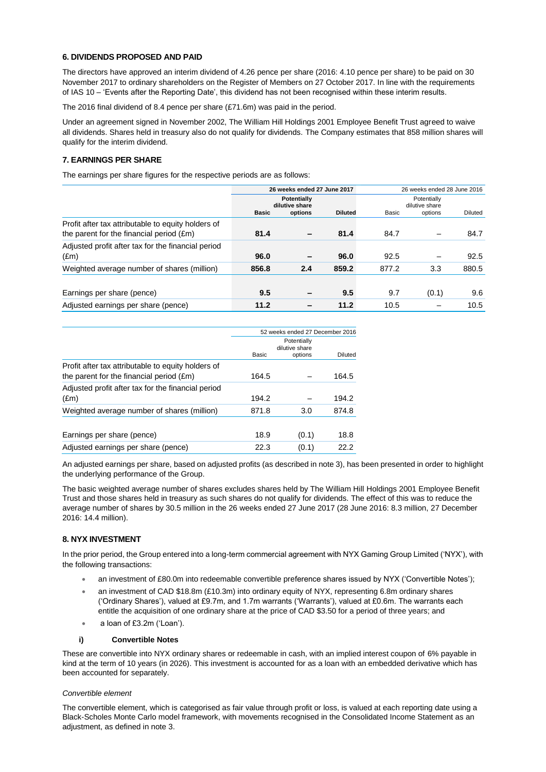#### **6. DIVIDENDS PROPOSED AND PAID**

The directors have approved an interim dividend of 4.26 pence per share (2016: 4.10 pence per share) to be paid on 30 November 2017 to ordinary shareholders on the Register of Members on 27 October 2017. In line with the requirements of IAS 10 – 'Events after the Reporting Date', this dividend has not been recognised within these interim results.

The 2016 final dividend of 8.4 pence per share (£71.6m) was paid in the period.

Under an agreement signed in November 2002, The William Hill Holdings 2001 Employee Benefit Trust agreed to waive all dividends. Shares held in treasury also do not qualify for dividends. The Company estimates that 858 million shares will qualify for the interim dividend.

# **7. EARNINGS PER SHARE**

The earnings per share figures for the respective periods are as follows:

|                                                                                                | 26 weeks ended 27 June 2017          |         |                |                               | 26 weeks ended 28 June 2016 |         |
|------------------------------------------------------------------------------------------------|--------------------------------------|---------|----------------|-------------------------------|-----------------------------|---------|
|                                                                                                | <b>Potentially</b><br>dilutive share |         |                | Potentially<br>dilutive share |                             |         |
|                                                                                                | <b>Basic</b>                         | options | <b>Diluted</b> | Basic                         | options                     | Diluted |
| Profit after tax attributable to equity holders of<br>the parent for the financial period (£m) | 81.4                                 |         | 81.4           | 84.7                          |                             | 84.7    |
| Adjusted profit after tax for the financial period                                             |                                      |         |                |                               |                             |         |
| E(m)                                                                                           | 96.0                                 |         | 96.0           | 92.5                          |                             | 92.5    |
| Weighted average number of shares (million)                                                    | 856.8                                | 2.4     | 859.2          | 877.2                         | 3.3                         | 880.5   |
|                                                                                                |                                      |         |                |                               |                             |         |
| Earnings per share (pence)                                                                     | 9.5                                  |         | 9.5            | 9.7                           | (0.1)                       | 9.6     |
| Adjusted earnings per share (pence)                                                            | 11.2                                 |         | 11.2           | 10.5                          | -                           | 10.5    |

|                                                    |                | 52 weeks ended 27 December 2016 |         |
|----------------------------------------------------|----------------|---------------------------------|---------|
|                                                    | dilutive share |                                 |         |
|                                                    | Basic          | options                         | Diluted |
| Profit after tax attributable to equity holders of |                |                                 |         |
| the parent for the financial period (£m)           | 164.5          |                                 | 164.5   |
| Adjusted profit after tax for the financial period |                |                                 |         |
| $(\text{Em})$                                      | 194.2          |                                 | 194.2   |
| Weighted average number of shares (million)        | 871.8          | 3.0                             | 874.8   |
|                                                    |                |                                 |         |
| Earnings per share (pence)                         | 18.9           | (0.1)                           | 18.8    |
| Adjusted earnings per share (pence)                | 22.3           | (0.1)                           | 22.2    |

An adjusted earnings per share, based on adjusted profits (as described in note 3), has been presented in order to highlight the underlying performance of the Group.

The basic weighted average number of shares excludes shares held by The William Hill Holdings 2001 Employee Benefit Trust and those shares held in treasury as such shares do not qualify for dividends. The effect of this was to reduce the average number of shares by 30.5 million in the 26 weeks ended 27 June 2017 (28 June 2016: 8.3 million, 27 December 2016: 14.4 million).

# **8. NYX INVESTMENT**

In the prior period, the Group entered into a long-term commercial agreement with NYX Gaming Group Limited ('NYX'), with the following transactions:

- an investment of £80.0m into redeemable convertible preference shares issued by NYX ('Convertible Notes');
- an investment of CAD \$18.8m (£10.3m) into ordinary equity of NYX, representing 6.8m ordinary shares ('Ordinary Shares'), valued at £9.7m, and 1.7m warrants ('Warrants'), valued at £0.6m. The warrants each entitle the acquisition of one ordinary share at the price of CAD \$3.50 for a period of three years; and
- a loan of £3.2m ('Loan').

#### **i) Convertible Notes**

These are convertible into NYX ordinary shares or redeemable in cash, with an implied interest coupon of 6% payable in kind at the term of 10 years (in 2026). This investment is accounted for as a loan with an embedded derivative which has been accounted for separately.

#### *Convertible element*

The convertible element, which is categorised as fair value through profit or loss, is valued at each reporting date using a Black-Scholes Monte Carlo model framework, with movements recognised in the Consolidated Income Statement as an adjustment, as defined in note 3.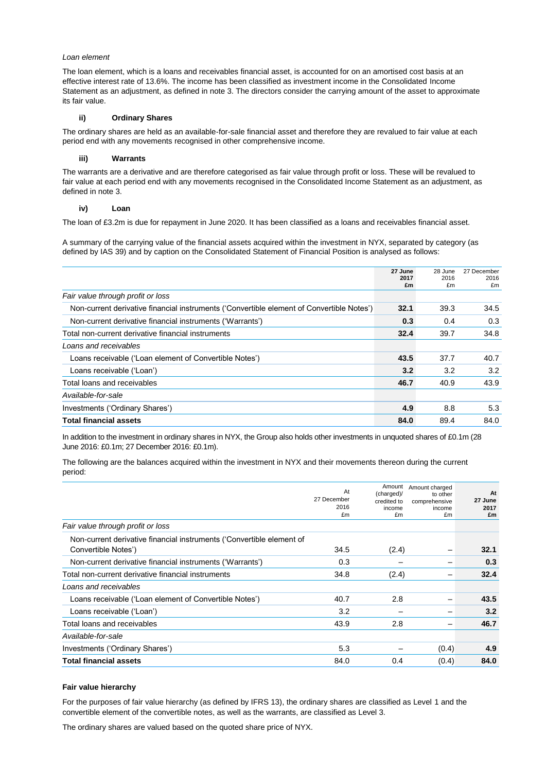#### *Loan element*

The loan element, which is a loans and receivables financial asset, is accounted for on an amortised cost basis at an effective interest rate of 13.6%. The income has been classified as investment income in the Consolidated Income Statement as an adjustment, as defined in note 3. The directors consider the carrying amount of the asset to approximate its fair value.

#### **ii) Ordinary Shares**

The ordinary shares are held as an available-for-sale financial asset and therefore they are revalued to fair value at each period end with any movements recognised in other comprehensive income.

#### **iii) Warrants**

The warrants are a derivative and are therefore categorised as fair value through profit or loss. These will be revalued to fair value at each period end with any movements recognised in the Consolidated Income Statement as an adjustment, as defined in note 3.

#### **iv) Loan**

The loan of £3.2m is due for repayment in June 2020. It has been classified as a loans and receivables financial asset.

A summary of the carrying value of the financial assets acquired within the investment in NYX, separated by category (as defined by IAS 39) and by caption on the Consolidated Statement of Financial Position is analysed as follows:

|                                                                                           | 27 June<br>2017 | 28 June<br>2016 | 27 December<br>2016 |
|-------------------------------------------------------------------------------------------|-----------------|-----------------|---------------------|
|                                                                                           | £m              | £m              | £m                  |
| Fair value through profit or loss                                                         |                 |                 |                     |
| Non-current derivative financial instruments ('Convertible element of Convertible Notes') | 32.1            | 39.3            | 34.5                |
| Non-current derivative financial instruments ('Warrants')                                 | 0.3             | 0.4             | 0.3                 |
| Total non-current derivative financial instruments                                        | 32.4            | 39.7            | 34.8                |
| Loans and receivables                                                                     |                 |                 |                     |
| Loans receivable ('Loan element of Convertible Notes')                                    | 43.5            | 37.7            | 40.7                |
| Loans receivable ('Loan')                                                                 | 3.2             | 3.2             | 3.2                 |
| Total loans and receivables                                                               | 46.7            | 40.9            | 43.9                |
| Available-for-sale                                                                        |                 |                 |                     |
| Investments ('Ordinary Shares')                                                           | 4.9             | 8.8             | 5.3                 |
| <b>Total financial assets</b>                                                             | 84.0            | 89.4            | 84.0                |

In addition to the investment in ordinary shares in NYX, the Group also holds other investments in unquoted shares of £0.1m (28 June 2016: £0.1m; 27 December 2016: £0.1m).

The following are the balances acquired within the investment in NYX and their movements thereon during the current period:

|                                                                                              | At<br>27 December<br>2016<br>£m | Amount<br>(charged)/<br>credited to<br>income<br>£m | Amount charged<br>to other<br>comprehensive<br>income<br>£m | At<br>27 June<br>2017<br>£m |
|----------------------------------------------------------------------------------------------|---------------------------------|-----------------------------------------------------|-------------------------------------------------------------|-----------------------------|
| Fair value through profit or loss                                                            |                                 |                                                     |                                                             |                             |
| Non-current derivative financial instruments ('Convertible element of<br>Convertible Notes') | 34.5                            | (2.4)                                               | -                                                           | 32.1                        |
| Non-current derivative financial instruments ('Warrants')                                    | 0.3                             |                                                     |                                                             | 0.3                         |
| Total non-current derivative financial instruments                                           | 34.8                            | (2.4)                                               |                                                             | 32.4                        |
| Loans and receivables                                                                        |                                 |                                                     |                                                             |                             |
| Loans receivable ('Loan element of Convertible Notes')                                       | 40.7                            | 2.8                                                 |                                                             | 43.5                        |
| Loans receivable ('Loan')                                                                    | 3.2                             |                                                     |                                                             | 3.2                         |
| Total loans and receivables                                                                  | 43.9                            | 2.8                                                 |                                                             | 46.7                        |
| Available-for-sale                                                                           |                                 |                                                     |                                                             |                             |
| Investments ('Ordinary Shares')                                                              | 5.3                             |                                                     | (0.4)                                                       | 4.9                         |
| <b>Total financial assets</b>                                                                | 84.0                            | 0.4                                                 | (0.4)                                                       | 84.0                        |

#### **Fair value hierarchy**

For the purposes of fair value hierarchy (as defined by IFRS 13), the ordinary shares are classified as Level 1 and the convertible element of the convertible notes, as well as the warrants, are classified as Level 3.

The ordinary shares are valued based on the quoted share price of NYX.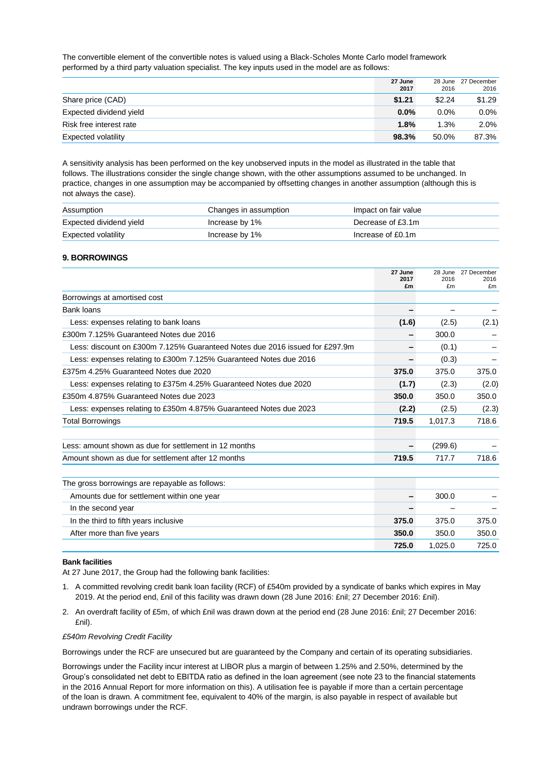The convertible element of the convertible notes is valued using a Black-Scholes Monte Carlo model framework performed by a third party valuation specialist. The key inputs used in the model are as follows:

|                         | 27 June<br>2017 | 2016    | 28 June 27 December<br>2016 |
|-------------------------|-----------------|---------|-----------------------------|
| Share price (CAD)       | \$1.21          | \$2.24  | \$1.29                      |
| Expected dividend yield | 0.0%            | $0.0\%$ | $0.0\%$                     |
| Risk free interest rate | 1.8%            | 1.3%    | 2.0%                        |
| Expected volatility     | 98.3%           | 50.0%   | 87.3%                       |

A sensitivity analysis has been performed on the key unobserved inputs in the model as illustrated in the table that follows. The illustrations consider the single change shown, with the other assumptions assumed to be unchanged. In practice, changes in one assumption may be accompanied by offsetting changes in another assumption (although this is not always the case).

| Assumption              | Changes in assumption | Impact on fair value |
|-------------------------|-----------------------|----------------------|
| Expected dividend yield | Increase by 1%        | Decrease of £3.1m    |
| Expected volatility     | Increase by 1%        | Increase of £0.1m    |

## **9. BORROWINGS**

|                                                                             | 27 June<br>2017<br>£m | 28 June<br>2016<br>£m | 27 December<br>2016<br>£m |
|-----------------------------------------------------------------------------|-----------------------|-----------------------|---------------------------|
| Borrowings at amortised cost                                                |                       |                       |                           |
| Bank loans                                                                  | -                     |                       |                           |
| Less: expenses relating to bank loans                                       | (1.6)                 | (2.5)                 | (2.1)                     |
| £300m 7.125% Guaranteed Notes due 2016                                      |                       | 300.0                 |                           |
| Less: discount on £300m 7.125% Guaranteed Notes due 2016 issued for £297.9m |                       | (0.1)                 |                           |
| Less: expenses relating to £300m 7.125% Guaranteed Notes due 2016           |                       | (0.3)                 |                           |
| £375m 4.25% Guaranteed Notes due 2020                                       | 375.0                 | 375.0                 | 375.0                     |
| Less: expenses relating to £375m 4.25% Guaranteed Notes due 2020            | (1.7)                 | (2.3)                 | (2.0)                     |
| £350m 4.875% Guaranteed Notes due 2023                                      | 350.0                 | 350.0                 | 350.0                     |
| Less: expenses relating to £350m 4.875% Guaranteed Notes due 2023           | (2.2)                 | (2.5)                 | (2.3)                     |
| <b>Total Borrowings</b>                                                     | 719.5                 | 1,017.3               | 718.6                     |
| Less: amount shown as due for settlement in 12 months                       |                       | (299.6)               |                           |
| Amount shown as due for settlement after 12 months                          | 719.5                 | 717.7                 | 718.6                     |
| The gross borrowings are repayable as follows:                              |                       |                       |                           |
| Amounts due for settlement within one year                                  |                       | 300.0                 |                           |
| In the second year                                                          |                       |                       |                           |
| In the third to fifth years inclusive                                       | 375.0                 | 375.0                 | 375.0                     |
| After more than five years                                                  | 350.0                 | 350.0                 | 350.0                     |
|                                                                             | 725.0                 | 1,025.0               | 725.0                     |

#### **Bank facilities**

At 27 June 2017, the Group had the following bank facilities:

- 1. A committed revolving credit bank loan facility (RCF) of £540m provided by a syndicate of banks which expires in May 2019. At the period end, £nil of this facility was drawn down (28 June 2016: £nil; 27 December 2016: £nil).
- 2. An overdraft facility of £5m, of which £nil was drawn down at the period end (28 June 2016: £nil; 27 December 2016: £nil).

*£540m Revolving Credit Facility*

Borrowings under the RCF are unsecured but are guaranteed by the Company and certain of its operating subsidiaries.

Borrowings under the Facility incur interest at LIBOR plus a margin of between 1.25% and 2.50%, determined by the Group's consolidated net debt to EBITDA ratio as defined in the loan agreement (see note 23 to the financial statements in the 2016 Annual Report for more information on this). A utilisation fee is payable if more than a certain percentage of the loan is drawn. A commitment fee, equivalent to 40% of the margin, is also payable in respect of available but undrawn borrowings under the RCF.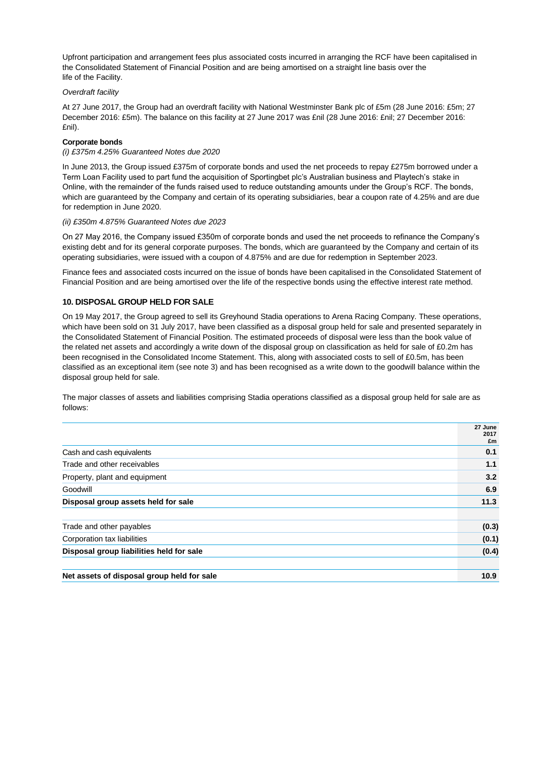Upfront participation and arrangement fees plus associated costs incurred in arranging the RCF have been capitalised in the Consolidated Statement of Financial Position and are being amortised on a straight line basis over the life of the Facility.

#### *Overdraft facility*

At 27 June 2017, the Group had an overdraft facility with National Westminster Bank plc of £5m (28 June 2016: £5m; 27 December 2016: £5m). The balance on this facility at 27 June 2017 was £nil (28 June 2016: £nil; 27 December 2016: £nil).

#### **Corporate bonds**

#### *(i) £375m 4.25% Guaranteed Notes due 2020*

In June 2013, the Group issued £375m of corporate bonds and used the net proceeds to repay £275m borrowed under a Term Loan Facility used to part fund the acquisition of Sportingbet plc's Australian business and Playtech's stake in Online, with the remainder of the funds raised used to reduce outstanding amounts under the Group's RCF. The bonds, which are guaranteed by the Company and certain of its operating subsidiaries, bear a coupon rate of 4.25% and are due for redemption in June 2020.

#### *(ii) £350m 4.875% Guaranteed Notes due 2023*

On 27 May 2016, the Company issued £350m of corporate bonds and used the net proceeds to refinance the Company's existing debt and for its general corporate purposes. The bonds, which are guaranteed by the Company and certain of its operating subsidiaries, were issued with a coupon of 4.875% and are due for redemption in September 2023.

Finance fees and associated costs incurred on the issue of bonds have been capitalised in the Consolidated Statement of Financial Position and are being amortised over the life of the respective bonds using the effective interest rate method.

#### **10. DISPOSAL GROUP HELD FOR SALE**

On 19 May 2017, the Group agreed to sell its Greyhound Stadia operations to Arena Racing Company. These operations, which have been sold on 31 July 2017, have been classified as a disposal group held for sale and presented separately in the Consolidated Statement of Financial Position. The estimated proceeds of disposal were less than the book value of the related net assets and accordingly a write down of the disposal group on classification as held for sale of £0.2m has been recognised in the Consolidated Income Statement. This, along with associated costs to sell of £0.5m, has been classified as an exceptional item (see note 3) and has been recognised as a write down to the goodwill balance within the disposal group held for sale.

The major classes of assets and liabilities comprising Stadia operations classified as a disposal group held for sale are as follows:

| Net assets of disposal group held for sale | 10.9                  |
|--------------------------------------------|-----------------------|
|                                            |                       |
| Disposal group liabilities held for sale   | (0.4)                 |
| Corporation tax liabilities                | (0.1)                 |
| Trade and other payables                   | (0.3)                 |
| Disposal group assets held for sale        | 11.3                  |
| Goodwill                                   | 6.9                   |
| Property, plant and equipment              | 3.2                   |
| Trade and other receivables                | 1.1                   |
| Cash and cash equivalents                  |                       |
|                                            | 27 June<br>2017<br>£m |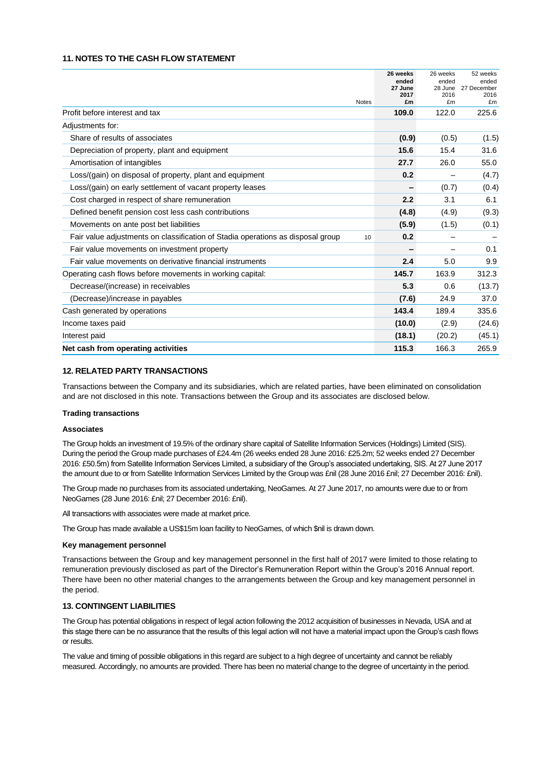# **11. NOTES TO THE CASH FLOW STATEMENT**

| <b>Notes</b>                                                                          | 26 weeks<br>ended<br>27 June<br>2017<br>£m | 26 weeks<br>ended<br>28 June<br>2016<br>£m | 52 weeks<br>ended<br>27 December<br>2016<br>£m |
|---------------------------------------------------------------------------------------|--------------------------------------------|--------------------------------------------|------------------------------------------------|
| Profit before interest and tax                                                        | 109.0                                      | 122.0                                      | 225.6                                          |
| Adjustments for:                                                                      |                                            |                                            |                                                |
| Share of results of associates                                                        | (0.9)                                      | (0.5)                                      | (1.5)                                          |
| Depreciation of property, plant and equipment                                         | 15.6                                       | 15.4                                       | 31.6                                           |
| Amortisation of intangibles                                                           | 27.7                                       | 26.0                                       | 55.0                                           |
| Loss/(gain) on disposal of property, plant and equipment                              | 0.2                                        |                                            | (4.7)                                          |
| Loss/(gain) on early settlement of vacant property leases                             |                                            | (0.7)                                      | (0.4)                                          |
| Cost charged in respect of share remuneration                                         | 2.2                                        | 3.1                                        | 6.1                                            |
| Defined benefit pension cost less cash contributions                                  | (4.8)                                      | (4.9)                                      | (9.3)                                          |
| Movements on ante post bet liabilities                                                | (5.9)                                      | (1.5)                                      | (0.1)                                          |
| Fair value adjustments on classification of Stadia operations as disposal group<br>10 | 0.2                                        | -                                          |                                                |
| Fair value movements on investment property                                           |                                            |                                            | 0.1                                            |
| Fair value movements on derivative financial instruments                              | 2.4                                        | 5.0                                        | 9.9                                            |
| Operating cash flows before movements in working capital:                             | 145.7                                      | 163.9                                      | 312.3                                          |
| Decrease/(increase) in receivables                                                    | 5.3                                        | 0.6                                        | (13.7)                                         |
| (Decrease)/increase in payables                                                       | (7.6)                                      | 24.9                                       | 37.0                                           |
| Cash generated by operations                                                          | 143.4                                      | 189.4                                      | 335.6                                          |
| Income taxes paid                                                                     | (10.0)                                     | (2.9)                                      | (24.6)                                         |
| Interest paid                                                                         | (18.1)                                     | (20.2)                                     | (45.1)                                         |
| Net cash from operating activities                                                    | 115.3                                      | 166.3                                      | 265.9                                          |

#### **12. RELATED PARTY TRANSACTIONS**

Transactions between the Company and its subsidiaries, which are related parties, have been eliminated on consolidation and are not disclosed in this note. Transactions between the Group and its associates are disclosed below.

#### **Trading transactions**

#### **Associates**

The Group holds an investment of 19.5% of the ordinary share capital of Satellite Information Services (Holdings) Limited (SIS). During the period the Group made purchases of £24.4m (26 weeks ended 28 June 2016: £25.2m; 52 weeks ended 27 December 2016: £50.5m) from Satellite Information Services Limited, a subsidiary of the Group's associated undertaking, SIS. At 27 June 2017 the amount due to or from Satellite Information Services Limited by the Group was £nil (28 June 2016 £nil; 27 December 2016: £nil).

The Group made no purchases from its associated undertaking, NeoGames. At 27 June 2017, no amounts were due to or from NeoGames (28 June 2016: £nil; 27 December 2016: £nil).

All transactions with associates were made at market price.

The Group has made available a US\$15m loan facility to NeoGames, of which \$nil is drawn down.

#### **Key management personnel**

Transactions between the Group and key management personnel in the first half of 2017 were limited to those relating to remuneration previously disclosed as part of the Director's Remuneration Report within the Group's 2016 Annual report. There have been no other material changes to the arrangements between the Group and key management personnel in the period.

# **13. CONTINGENT LIABILITIES**

The Group has potential obligations in respect of legal action following the 2012 acquisition of businesses in Nevada, USA and at this stage there can be no assurance that the results of this legal action will not have a material impact upon the Group's cash flows or results.

The value and timing of possible obligations in this regard are subject to a high degree of uncertainty and cannot be reliably measured. Accordingly, no amounts are provided. There has been no material change to the degree of uncertainty in the period.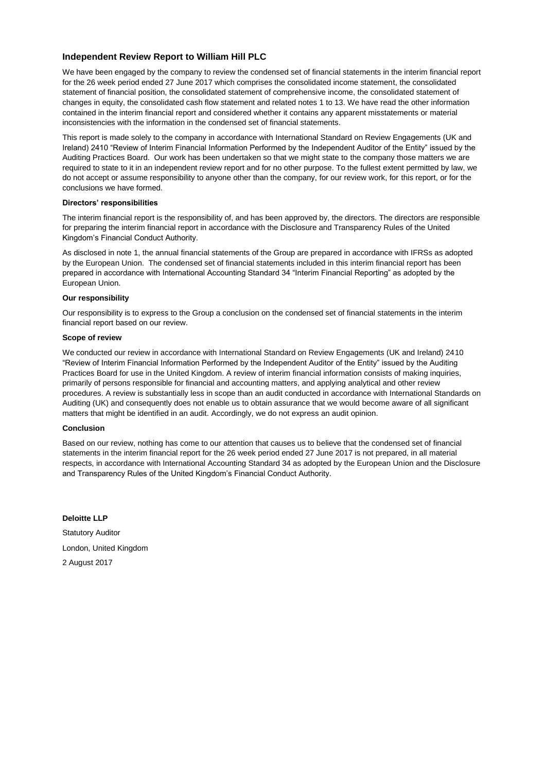# **Independent Review Report to William Hill PLC**

We have been engaged by the company to review the condensed set of financial statements in the interim financial report for the 26 week period ended 27 June 2017 which comprises the consolidated income statement, the consolidated statement of financial position, the consolidated statement of comprehensive income, the consolidated statement of changes in equity, the consolidated cash flow statement and related notes 1 to 13. We have read the other information contained in the interim financial report and considered whether it contains any apparent misstatements or material inconsistencies with the information in the condensed set of financial statements.

This report is made solely to the company in accordance with International Standard on Review Engagements (UK and Ireland) 2410 "Review of Interim Financial Information Performed by the Independent Auditor of the Entity" issued by the Auditing Practices Board. Our work has been undertaken so that we might state to the company those matters we are required to state to it in an independent review report and for no other purpose. To the fullest extent permitted by law, we do not accept or assume responsibility to anyone other than the company, for our review work, for this report, or for the conclusions we have formed.

#### **Directors' responsibilities**

The interim financial report is the responsibility of, and has been approved by, the directors. The directors are responsible for preparing the interim financial report in accordance with the Disclosure and Transparency Rules of the United Kingdom's Financial Conduct Authority.

As disclosed in note 1, the annual financial statements of the Group are prepared in accordance with IFRSs as adopted by the European Union. The condensed set of financial statements included in this interim financial report has been prepared in accordance with International Accounting Standard 34 "Interim Financial Reporting" as adopted by the European Union.

#### **Our responsibility**

Our responsibility is to express to the Group a conclusion on the condensed set of financial statements in the interim financial report based on our review.

#### **Scope of review**

We conducted our review in accordance with International Standard on Review Engagements (UK and Ireland) 2410 "Review of Interim Financial Information Performed by the Independent Auditor of the Entity" issued by the Auditing Practices Board for use in the United Kingdom. A review of interim financial information consists of making inquiries, primarily of persons responsible for financial and accounting matters, and applying analytical and other review procedures. A review is substantially less in scope than an audit conducted in accordance with International Standards on Auditing (UK) and consequently does not enable us to obtain assurance that we would become aware of all significant matters that might be identified in an audit. Accordingly, we do not express an audit opinion.

#### **Conclusion**

Based on our review, nothing has come to our attention that causes us to believe that the condensed set of financial statements in the interim financial report for the 26 week period ended 27 June 2017 is not prepared, in all material respects, in accordance with International Accounting Standard 34 as adopted by the European Union and the Disclosure and Transparency Rules of the United Kingdom's Financial Conduct Authority.

**Deloitte LLP** Statutory Auditor London, United Kingdom 2 August 2017